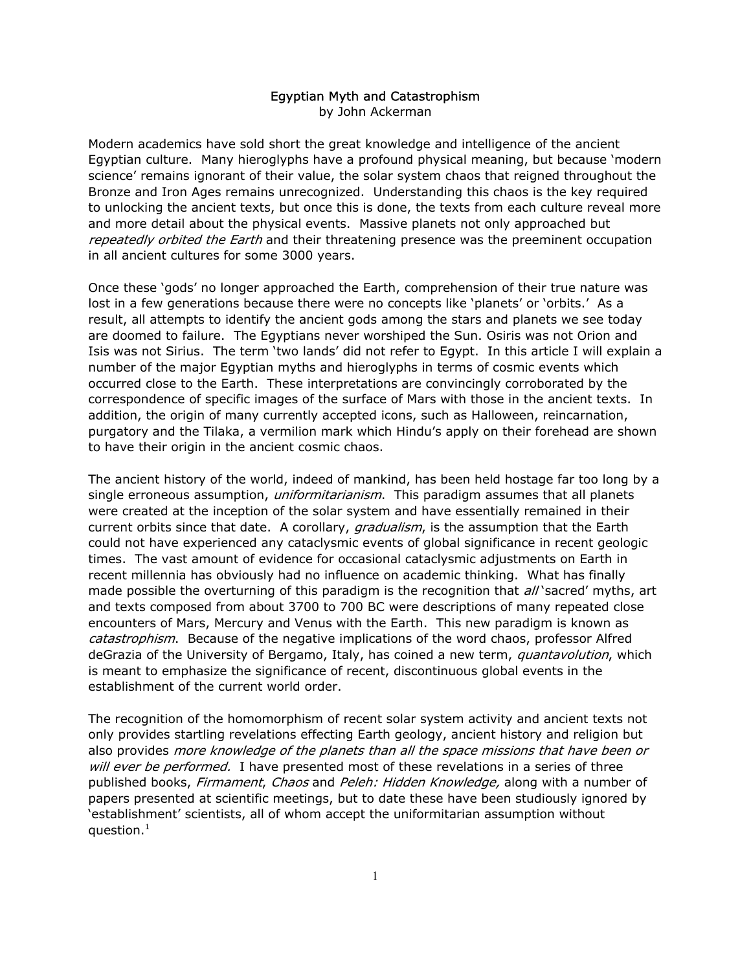## Egyptian Myth and Catastrophism

by John Ackerman

Modern academics have sold short the great knowledge and intelligence of the ancient Egyptian culture. Many hieroglyphs have a profound physical meaning, but because 'modern science' remains ignorant of their value, the solar system chaos that reigned throughout the Bronze and Iron Ages remains unrecognized. Understanding this chaos is the key required to unlocking the ancient texts, but once this is done, the texts from each culture reveal more and more detail about the physical events. Massive planets not only approached but repeatedly orbited the Earth and their threatening presence was the preeminent occupation in all ancient cultures for some 3000 years.

Once these 'gods' no longer approached the Earth, comprehension of their true nature was lost in a few generations because there were no concepts like 'planets' or 'orbits.' As a result, all attempts to identify the ancient gods among the stars and planets we see today are doomed to failure. The Egyptians never worshiped the Sun. Osiris was not Orion and Isis was not Sirius. The term 'two lands' did not refer to Egypt. In this article I will explain a number of the major Egyptian myths and hieroglyphs in terms of cosmic events which occurred close to the Earth. These interpretations are convincingly corroborated by the correspondence of specific images of the surface of Mars with those in the ancient texts. In addition, the origin of many currently accepted icons, such as Halloween, reincarnation, purgatory and the Tilaka, a vermilion mark which Hindu's apply on their forehead are shown to have their origin in the ancient cosmic chaos.

The ancient history of the world, indeed of mankind, has been held hostage far too long by a single erroneous assumption, *uniformitarianism*. This paradigm assumes that all planets were created at the inception of the solar system and have essentially remained in their current orbits since that date. A corollary, *gradualism*, is the assumption that the Earth could not have experienced any cataclysmic events of global significance in recent geologic times. The vast amount of evidence for occasional cataclysmic adjustments on Earth in recent millennia has obviously had no influence on academic thinking. What has finally made possible the overturning of this paradigm is the recognition that  $al$ 'sacred' myths, art and texts composed from about 3700 to 700 BC were descriptions of many repeated close encounters of Mars, Mercury and Venus with the Earth. This new paradigm is known as catastrophism. Because of the negative implications of the word chaos, professor Alfred deGrazia of the University of Bergamo, Italy, has coined a new term, quantavolution, which is meant to emphasize the significance of recent, discontinuous global events in the establishment of the current world order.

The recognition of the homomorphism of recent solar system activity and ancient texts not only provides startling revelations effecting Earth geology, ancient history and religion but also provides more knowledge of the planets than all the space missions that have been or will ever be performed. I have presented most of these revelations in a series of three published books, Firmament, Chaos and Peleh: Hidden Knowledge, along with a number of papers presented at scientific meetings, but to date these have been studiously ignored by 'establishment' scientists, all of whom accept the uniformitarian assumption without question. $^1$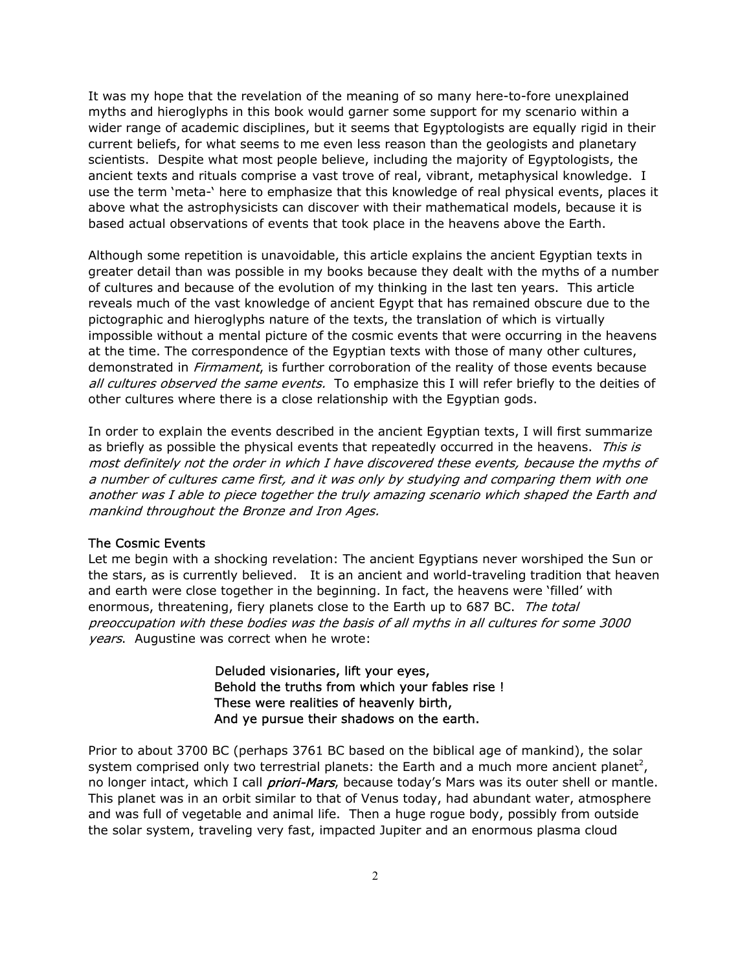It was my hope that the revelation of the meaning of so many here-to-fore unexplained myths and hieroglyphs in this book would garner some support for my scenario within a wider range of academic disciplines, but it seems that Egyptologists are equally rigid in their current beliefs, for what seems to me even less reason than the geologists and planetary scientists. Despite what most people believe, including the majority of Egyptologists, the ancient texts and rituals comprise a vast trove of real, vibrant, metaphysical knowledge. I use the term 'meta-' here to emphasize that this knowledge of real physical events, places it above what the astrophysicists can discover with their mathematical models, because it is based actual observations of events that took place in the heavens above the Earth.

Although some repetition is unavoidable, this article explains the ancient Egyptian texts in greater detail than was possible in my books because they dealt with the myths of a number of cultures and because of the evolution of my thinking in the last ten years. This article reveals much of the vast knowledge of ancient Egypt that has remained obscure due to the pictographic and hieroglyphs nature of the texts, the translation of which is virtually impossible without a mental picture of the cosmic events that were occurring in the heavens at the time. The correspondence of the Egyptian texts with those of many other cultures, demonstrated in *Firmament*, is further corroboration of the reality of those events because all cultures observed the same events. To emphasize this I will refer briefly to the deities of other cultures where there is a close relationship with the Egyptian gods.

In order to explain the events described in the ancient Egyptian texts, I will first summarize as briefly as possible the physical events that repeatedly occurred in the heavens. This is most definitely not the order in which I have discovered these events, because the myths of a number of cultures came first, and it was only by studying and comparing them with one another was I able to piece together the truly amazing scenario which shaped the Earth and mankind throughout the Bronze and Iron Ages.

## The Cosmic Events

Let me begin with a shocking revelation: The ancient Egyptians never worshiped the Sun or the stars, as is currently believed. It is an ancient and world-traveling tradition that heaven and earth were close together in the beginning. In fact, the heavens were 'filled' with enormous, threatening, fiery planets close to the Earth up to 687 BC. The total preoccupation with these bodies was the basis of all myths in all cultures for some 3000 years. Augustine was correct when he wrote:

> Deluded visionaries, lift your eyes, Behold the truths from which your fables rise ! These were realities of heavenly birth, And ye pursue their shadows on the earth.

Prior to about 3700 BC (perhaps 3761 BC based on the biblical age of mankind), the solar system comprised only two terrestrial planets: the Earth and a much more ancient planet<sup>2</sup>, no longer intact, which I call *priori-Mars*, because today's Mars was its outer shell or mantle. This planet was in an orbit similar to that of Venus today, had abundant water, atmosphere and was full of vegetable and animal life. Then a huge rogue body, possibly from outside the solar system, traveling very fast, impacted Jupiter and an enormous plasma cloud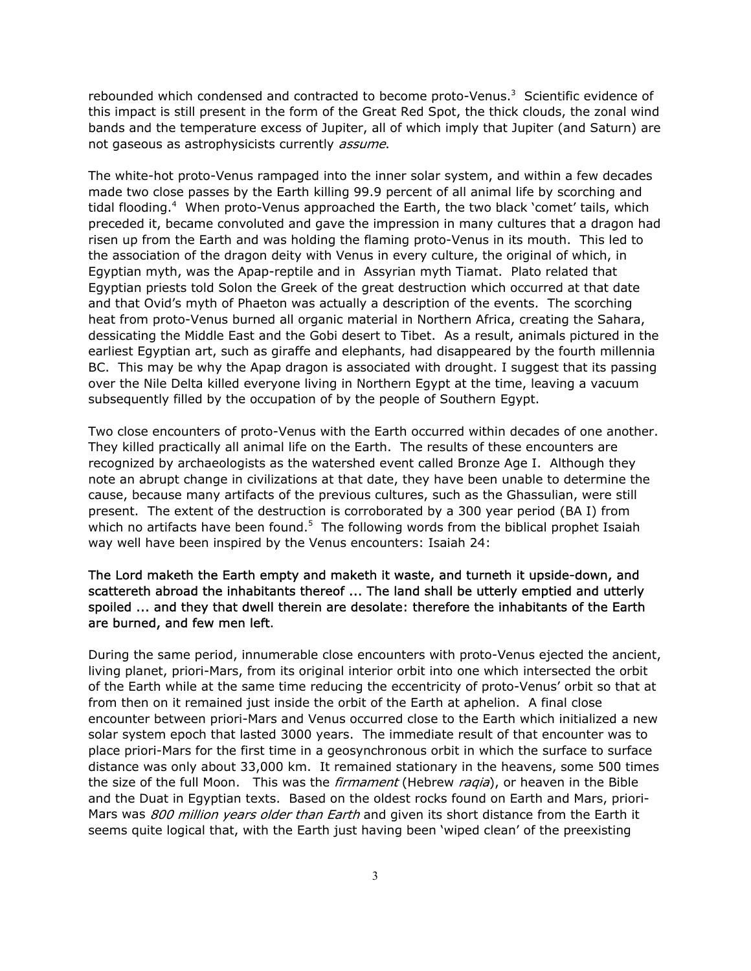rebounded which condensed and contracted to become proto-Venus.<sup>3</sup> Scientific evidence of this impact is still present in the form of the Great Red Spot, the thick clouds, the zonal wind bands and the temperature excess of Jupiter, all of which imply that Jupiter (and Saturn) are not gaseous as astrophysicists currently *assume*.

The white-hot proto-Venus rampaged into the inner solar system, and within a few decades made two close passes by the Earth killing 99.9 percent of all animal life by scorching and tidal flooding.<sup>4</sup> When proto-Venus approached the Earth, the two black 'comet' tails, which preceded it, became convoluted and gave the impression in many cultures that a dragon had risen up from the Earth and was holding the flaming proto-Venus in its mouth. This led to the association of the dragon deity with Venus in every culture, the original of which, in Egyptian myth, was the Apap-reptile and in Assyrian myth Tiamat. Plato related that Egyptian priests told Solon the Greek of the great destruction which occurred at that date and that Ovid's myth of Phaeton was actually a description of the events. The scorching heat from proto-Venus burned all organic material in Northern Africa, creating the Sahara, dessicating the Middle East and the Gobi desert to Tibet. As a result, animals pictured in the earliest Egyptian art, such as giraffe and elephants, had disappeared by the fourth millennia BC. This may be why the Apap dragon is associated with drought. I suggest that its passing over the Nile Delta killed everyone living in Northern Egypt at the time, leaving a vacuum subsequently filled by the occupation of by the people of Southern Egypt.

Two close encounters of proto-Venus with the Earth occurred within decades of one another. They killed practically all animal life on the Earth. The results of these encounters are recognized by archaeologists as the watershed event called Bronze Age I. Although they note an abrupt change in civilizations at that date, they have been unable to determine the cause, because many artifacts of the previous cultures, such as the Ghassulian, were still present. The extent of the destruction is corroborated by a 300 year period (BA I) from which no artifacts have been found.<sup>5</sup> The following words from the biblical prophet Isaiah way well have been inspired by the Venus encounters: Isaiah 24:

# The Lord maketh the Earth empty and maketh it waste, and turneth it upside-down, and scattereth abroad the inhabitants thereof ... The land shall be utterly emptied and utterly spoiled ... and they that dwell therein are desolate: therefore the inhabitants of the Earth are burned, and few men left.

During the same period, innumerable close encounters with proto-Venus ejected the ancient, living planet, priori-Mars, from its original interior orbit into one which intersected the orbit of the Earth while at the same time reducing the eccentricity of proto-Venus' orbit so that at from then on it remained just inside the orbit of the Earth at aphelion. A final close encounter between priori-Mars and Venus occurred close to the Earth which initialized a new solar system epoch that lasted 3000 years. The immediate result of that encounter was to place priori-Mars for the first time in a geosynchronous orbit in which the surface to surface distance was only about 33,000 km. It remained stationary in the heavens, some 500 times the size of the full Moon. This was the *firmament* (Hebrew *raqia*), or heaven in the Bible and the Duat in Egyptian texts. Based on the oldest rocks found on Earth and Mars, priori-Mars was 800 million years older than Earth and given its short distance from the Earth it seems quite logical that, with the Earth just having been 'wiped clean' of the preexisting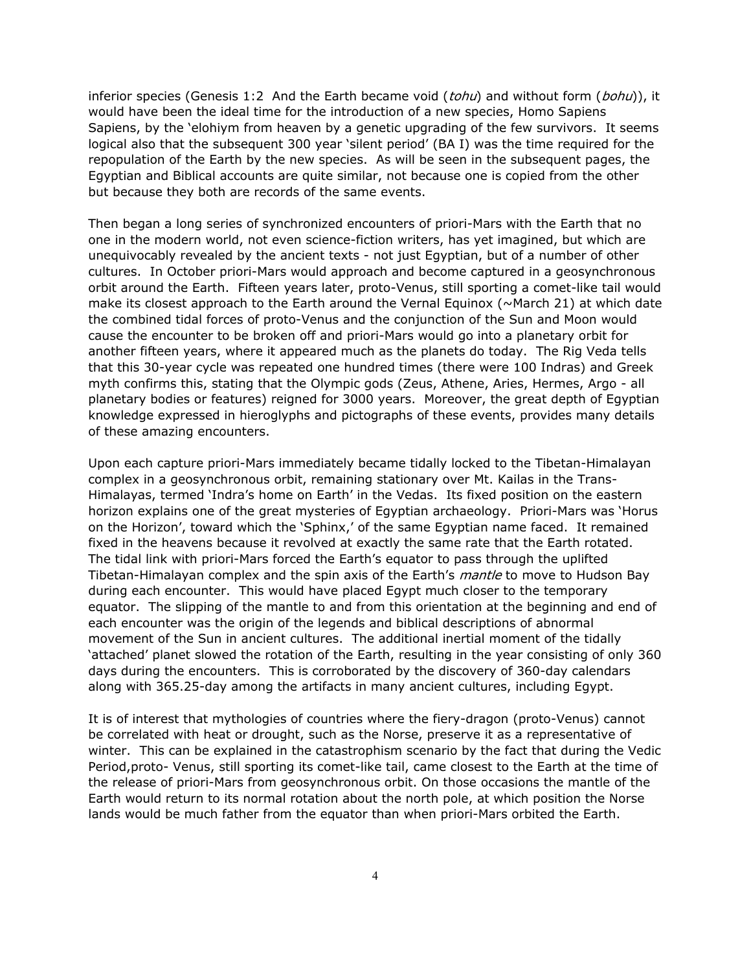inferior species (Genesis 1:2 And the Earth became void (tohu) and without form (bohu)), it would have been the ideal time for the introduction of a new species, Homo Sapiens Sapiens, by the 'elohiym from heaven by a genetic upgrading of the few survivors. It seems logical also that the subsequent 300 year 'silent period' (BA I) was the time required for the repopulation of the Earth by the new species. As will be seen in the subsequent pages, the Egyptian and Biblical accounts are quite similar, not because one is copied from the other but because they both are records of the same events.

Then began a long series of synchronized encounters of priori-Mars with the Earth that no one in the modern world, not even science-fiction writers, has yet imagined, but which are unequivocably revealed by the ancient texts - not just Egyptian, but of a number of other cultures. In October priori-Mars would approach and become captured in a geosynchronous orbit around the Earth. Fifteen years later, proto-Venus, still sporting a comet-like tail would make its closest approach to the Earth around the Vernal Equinox (~March 21) at which date the combined tidal forces of proto-Venus and the conjunction of the Sun and Moon would cause the encounter to be broken off and priori-Mars would go into a planetary orbit for another fifteen years, where it appeared much as the planets do today. The Rig Veda tells that this 30-year cycle was repeated one hundred times (there were 100 Indras) and Greek myth confirms this, stating that the Olympic gods (Zeus, Athene, Aries, Hermes, Argo - all planetary bodies or features) reigned for 3000 years. Moreover, the great depth of Egyptian knowledge expressed in hieroglyphs and pictographs of these events, provides many details of these amazing encounters.

Upon each capture priori-Mars immediately became tidally locked to the Tibetan-Himalayan complex in a geosynchronous orbit, remaining stationary over Mt. Kailas in the Trans-Himalayas, termed 'Indra's home on Earth' in the Vedas. Its fixed position on the eastern horizon explains one of the great mysteries of Egyptian archaeology. Priori-Mars was 'Horus on the Horizon', toward which the 'Sphinx,' of the same Egyptian name faced. It remained fixed in the heavens because it revolved at exactly the same rate that the Earth rotated. The tidal link with priori-Mars forced the Earth's equator to pass through the uplifted Tibetan-Himalayan complex and the spin axis of the Earth's *mantle* to move to Hudson Bay during each encounter. This would have placed Egypt much closer to the temporary equator. The slipping of the mantle to and from this orientation at the beginning and end of each encounter was the origin of the legends and biblical descriptions of abnormal movement of the Sun in ancient cultures. The additional inertial moment of the tidally 'attached' planet slowed the rotation of the Earth, resulting in the year consisting of only 360 days during the encounters. This is corroborated by the discovery of 360-day calendars along with 365.25-day among the artifacts in many ancient cultures, including Egypt.

It is of interest that mythologies of countries where the fiery-dragon (proto-Venus) cannot be correlated with heat or drought, such as the Norse, preserve it as a representative of winter. This can be explained in the catastrophism scenario by the fact that during the Vedic Period,proto- Venus, still sporting its comet-like tail, came closest to the Earth at the time of the release of priori-Mars from geosynchronous orbit. On those occasions the mantle of the Earth would return to its normal rotation about the north pole, at which position the Norse lands would be much father from the equator than when priori-Mars orbited the Earth.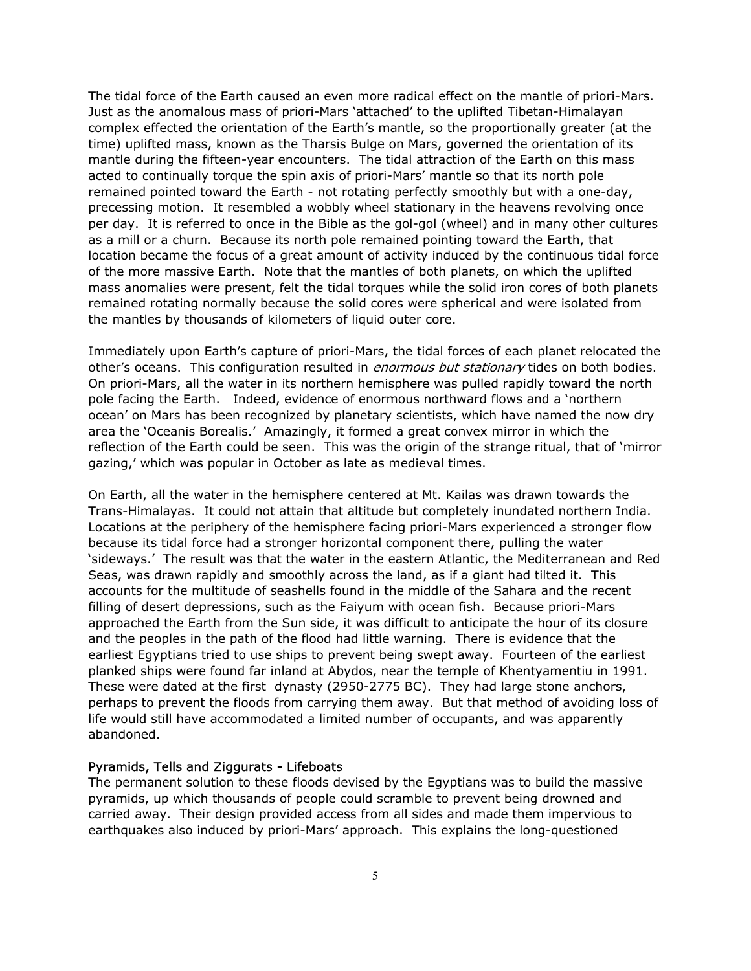The tidal force of the Earth caused an even more radical effect on the mantle of priori-Mars. Just as the anomalous mass of priori-Mars 'attached' to the uplifted Tibetan-Himalayan complex effected the orientation of the Earth's mantle, so the proportionally greater (at the time) uplifted mass, known as the Tharsis Bulge on Mars, governed the orientation of its mantle during the fifteen-year encounters. The tidal attraction of the Earth on this mass acted to continually torque the spin axis of priori-Mars' mantle so that its north pole remained pointed toward the Earth - not rotating perfectly smoothly but with a one-day, precessing motion. It resembled a wobbly wheel stationary in the heavens revolving once per day. It is referred to once in the Bible as the gol-gol (wheel) and in many other cultures as a mill or a churn. Because its north pole remained pointing toward the Earth, that location became the focus of a great amount of activity induced by the continuous tidal force of the more massive Earth. Note that the mantles of both planets, on which the uplifted mass anomalies were present, felt the tidal torques while the solid iron cores of both planets remained rotating normally because the solid cores were spherical and were isolated from the mantles by thousands of kilometers of liquid outer core.

Immediately upon Earth's capture of priori-Mars, the tidal forces of each planet relocated the other's oceans. This configuration resulted in *enormous but stationary* tides on both bodies. On priori-Mars, all the water in its northern hemisphere was pulled rapidly toward the north pole facing the Earth. Indeed, evidence of enormous northward flows and a 'northern ocean' on Mars has been recognized by planetary scientists, which have named the now dry area the 'Oceanis Borealis.' Amazingly, it formed a great convex mirror in which the reflection of the Earth could be seen. This was the origin of the strange ritual, that of 'mirror gazing,' which was popular in October as late as medieval times.

On Earth, all the water in the hemisphere centered at Mt. Kailas was drawn towards the Trans-Himalayas. It could not attain that altitude but completely inundated northern India. Locations at the periphery of the hemisphere facing priori-Mars experienced a stronger flow because its tidal force had a stronger horizontal component there, pulling the water 'sideways.' The result was that the water in the eastern Atlantic, the Mediterranean and Red Seas, was drawn rapidly and smoothly across the land, as if a giant had tilted it. This accounts for the multitude of seashells found in the middle of the Sahara and the recent filling of desert depressions, such as the Faiyum with ocean fish. Because priori-Mars approached the Earth from the Sun side, it was difficult to anticipate the hour of its closure and the peoples in the path of the flood had little warning. There is evidence that the earliest Egyptians tried to use ships to prevent being swept away. Fourteen of the earliest planked ships were found far inland at Abydos, near the temple of Khentyamentiu in 1991. These were dated at the first dynasty (2950-2775 BC). They had large stone anchors, perhaps to prevent the floods from carrying them away. But that method of avoiding loss of life would still have accommodated a limited number of occupants, and was apparently abandoned.

#### Pyramids, Tells and Ziggurats - Lifeboats

The permanent solution to these floods devised by the Egyptians was to build the massive pyramids, up which thousands of people could scramble to prevent being drowned and carried away. Their design provided access from all sides and made them impervious to earthquakes also induced by priori-Mars' approach. This explains the long-questioned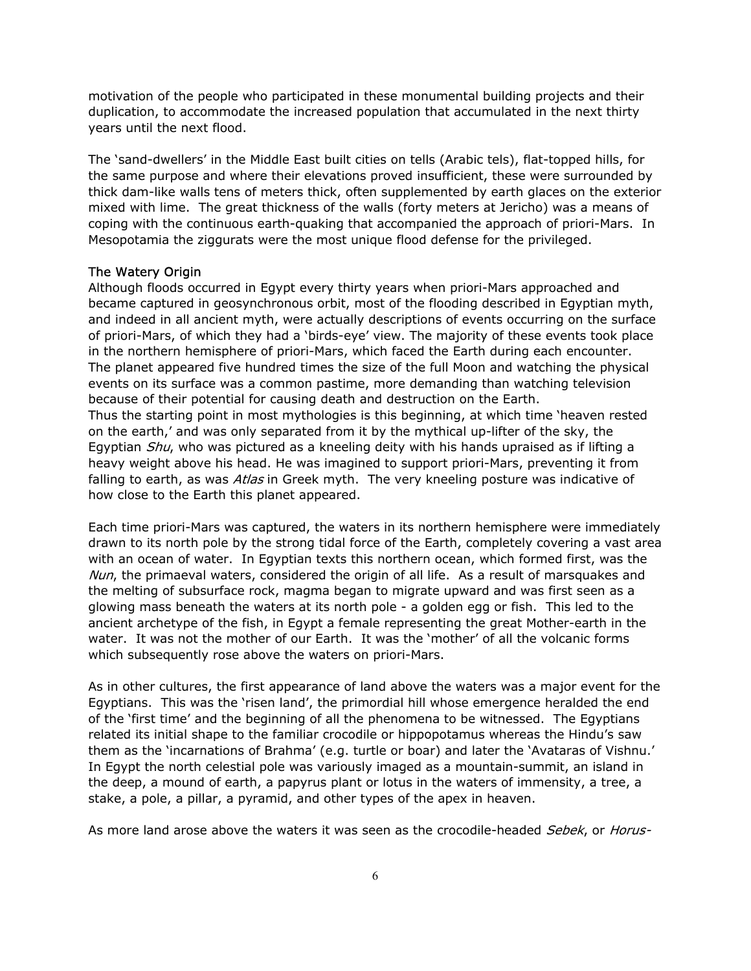motivation of the people who participated in these monumental building projects and their duplication, to accommodate the increased population that accumulated in the next thirty years until the next flood.

The 'sand-dwellers' in the Middle East built cities on tells (Arabic tels), flat-topped hills, for the same purpose and where their elevations proved insufficient, these were surrounded by thick dam-like walls tens of meters thick, often supplemented by earth glaces on the exterior mixed with lime. The great thickness of the walls (forty meters at Jericho) was a means of coping with the continuous earth-quaking that accompanied the approach of priori-Mars. In Mesopotamia the ziggurats were the most unique flood defense for the privileged.

## The Watery Origin

Although floods occurred in Egypt every thirty years when priori-Mars approached and became captured in geosynchronous orbit, most of the flooding described in Egyptian myth, and indeed in all ancient myth, were actually descriptions of events occurring on the surface of priori-Mars, of which they had a 'birds-eye' view. The majority of these events took place in the northern hemisphere of priori-Mars, which faced the Earth during each encounter. The planet appeared five hundred times the size of the full Moon and watching the physical events on its surface was a common pastime, more demanding than watching television because of their potential for causing death and destruction on the Earth. Thus the starting point in most mythologies is this beginning, at which time 'heaven rested on the earth,' and was only separated from it by the mythical up-lifter of the sky, the

Egyptian *Shu*, who was pictured as a kneeling deity with his hands upraised as if lifting a heavy weight above his head. He was imagined to support priori-Mars, preventing it from falling to earth, as was Atlas in Greek myth. The very kneeling posture was indicative of how close to the Earth this planet appeared.

Each time priori-Mars was captured, the waters in its northern hemisphere were immediately drawn to its north pole by the strong tidal force of the Earth, completely covering a vast area with an ocean of water. In Egyptian texts this northern ocean, which formed first, was the Nun, the primaeval waters, considered the origin of all life. As a result of marsquakes and the melting of subsurface rock, magma began to migrate upward and was first seen as a glowing mass beneath the waters at its north pole - a golden egg or fish. This led to the ancient archetype of the fish, in Egypt a female representing the great Mother-earth in the water. It was not the mother of our Earth. It was the 'mother' of all the volcanic forms which subsequently rose above the waters on priori-Mars.

As in other cultures, the first appearance of land above the waters was a major event for the Egyptians. This was the 'risen land', the primordial hill whose emergence heralded the end of the 'first time' and the beginning of all the phenomena to be witnessed. The Egyptians related its initial shape to the familiar crocodile or hippopotamus whereas the Hindu's saw them as the 'incarnations of Brahma' (e.g. turtle or boar) and later the 'Avataras of Vishnu.' In Egypt the north celestial pole was variously imaged as a mountain-summit, an island in the deep, a mound of earth, a papyrus plant or lotus in the waters of immensity, a tree, a stake, a pole, a pillar, a pyramid, and other types of the apex in heaven.

As more land arose above the waters it was seen as the crocodile-headed Sebek, or Horus-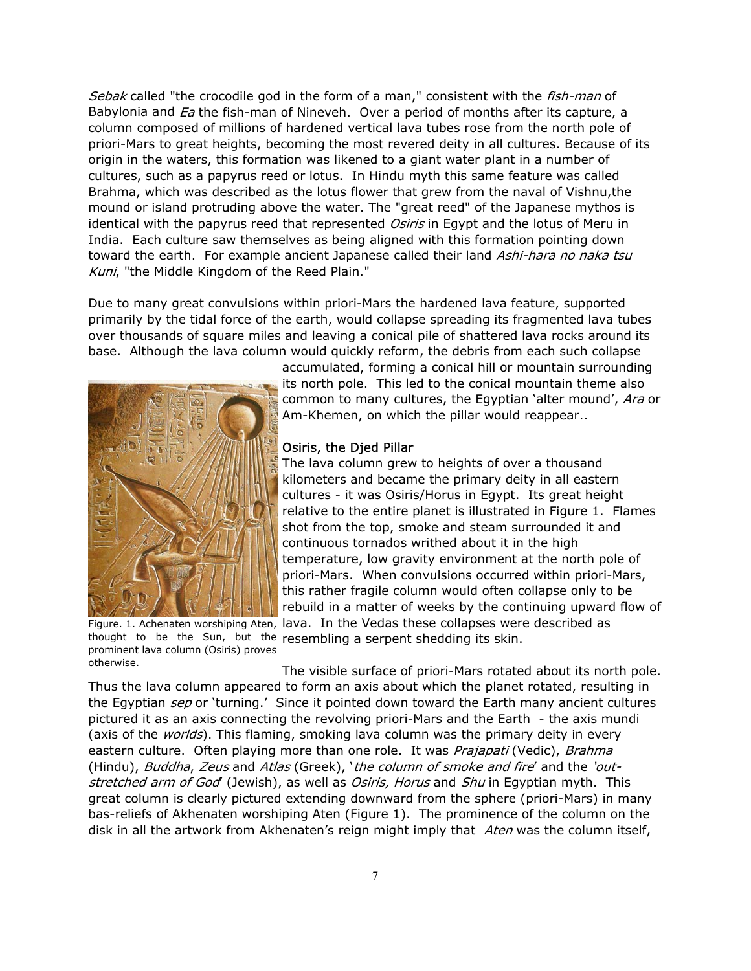Sebak called "the crocodile god in the form of a man," consistent with the *fish-man* of Babylonia and *Ea* the fish-man of Nineveh. Over a period of months after its capture, a column composed of millions of hardened vertical lava tubes rose from the north pole of priori-Mars to great heights, becoming the most revered deity in all cultures. Because of its origin in the waters, this formation was likened to a giant water plant in a number of cultures, such as a papyrus reed or lotus. In Hindu myth this same feature was called Brahma, which was described as the lotus flower that grew from the naval of Vishnu,the mound or island protruding above the water. The "great reed" of the Japanese mythos is identical with the papyrus reed that represented *Osiris* in Egypt and the lotus of Meru in India. Each culture saw themselves as being aligned with this formation pointing down toward the earth. For example ancient Japanese called their land Ashi-hara no naka tsu Kuni, "the Middle Kingdom of the Reed Plain."

Due to many great convulsions within priori-Mars the hardened lava feature, supported primarily by the tidal force of the earth, would collapse spreading its fragmented lava tubes over thousands of square miles and leaving a conical pile of shattered lava rocks around its base. Although the lava column would quickly reform, the debris from each such collapse



accumulated, forming a conical hill or mountain surrounding its north pole. This led to the conical mountain theme also common to many cultures, the Egyptian 'alter mound', Ara or Am-Khemen, on which the pillar would reappear..

## Osiris, the Djed Pillar

The lava column grew to heights of over a thousand kilometers and became the primary deity in all eastern cultures - it was Osiris/Horus in Egypt. Its great height relative to the entire planet is illustrated in Figure 1. Flames shot from the top, smoke and steam surrounded it and continuous tornados writhed about it in the high temperature, low gravity environment at the north pole of priori-Mars. When convulsions occurred within priori-Mars, this rather fragile column would often collapse only to be rebuild in a matter of weeks by the continuing upward flow of

Figure. 1. Achenaten worshiping Aten, lava. In the Vedas these collapses were described as thought to be the Sun, but the resembling a serpent shedding its skin. prominent lava column (Osiris) proves otherwise.

The visible surface of priori-Mars rotated about its north pole. Thus the lava column appeared to form an axis about which the planet rotated, resulting in the Egyptian sep or 'turning.' Since it pointed down toward the Earth many ancient cultures pictured it as an axis connecting the revolving priori-Mars and the Earth - the axis mundi (axis of the worlds). This flaming, smoking lava column was the primary deity in every eastern culture. Often playing more than one role. It was Prajapati (Vedic), Brahma (Hindu), Buddha, Zeus and Atlas (Greek), 'the column of smoke and fire' and the 'outstretched arm of God (Jewish), as well as Osiris, Horus and Shu in Egyptian myth. This great column is clearly pictured extending downward from the sphere (priori-Mars) in many bas-reliefs of Akhenaten worshiping Aten (Figure 1). The prominence of the column on the disk in all the artwork from Akhenaten's reign might imply that Aten was the column itself,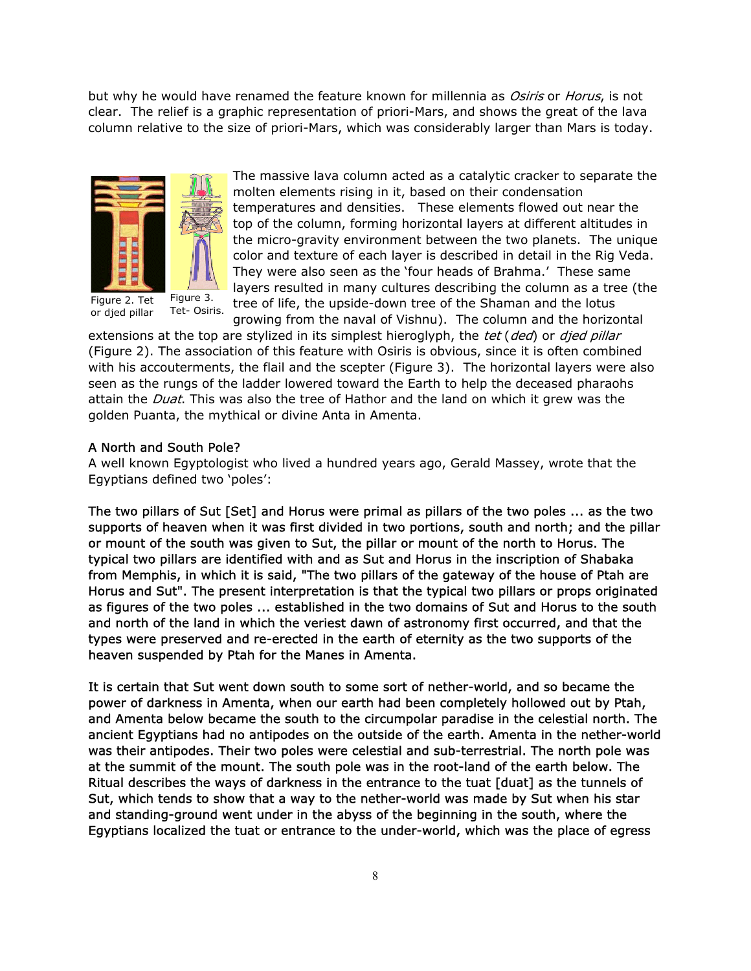but why he would have renamed the feature known for millennia as *Osiris* or *Horus*, is not clear. The relief is a graphic representation of priori-Mars, and shows the great of the lava column relative to the size of priori-Mars, which was considerably larger than Mars is today.



Figure 2. Tet or djed pillar

Tet- Osiris.

The massive lava column acted as a catalytic cracker to separate the molten elements rising in it, based on their condensation temperatures and densities. These elements flowed out near the top of the column, forming horizontal layers at different altitudes in the micro-gravity environment between the two planets. The unique color and texture of each layer is described in detail in the Rig Veda. They were also seen as the 'four heads of Brahma.' These same layers resulted in many cultures describing the column as a tree (the tree of life, the upside-down tree of the Shaman and the lotus

growing from the naval of Vishnu). The column and the horizontal

extensions at the top are stylized in its simplest hieroglyph, the *tet (ded)* or *djed pillar* (Figure 2). The association of this feature with Osiris is obvious, since it is often combined with his accouterments, the flail and the scepter (Figure 3). The horizontal layers were also seen as the rungs of the ladder lowered toward the Earth to help the deceased pharaohs attain the *Duat*. This was also the tree of Hathor and the land on which it grew was the golden Puanta, the mythical or divine Anta in Amenta.

## A North and South Pole?

A well known Egyptologist who lived a hundred years ago, Gerald Massey, wrote that the Egyptians defined two 'poles':

The two pillars of Sut [Set] and Horus were primal as pillars of the two poles ... as the two supports of heaven when it was first divided in two portions, south and north; and the pillar or mount of the south was given to Sut, the pillar or mount of the north to Horus. The typical two pillars are identified with and as Sut and Horus in the inscription of Shabaka from Memphis, in which it is said, "The two pillars of the gateway of the house of Ptah are Horus and Sut". The present interpretation is that the typical two pillars or props originated as figures of the two poles ... established in the two domains of Sut and Horus to the south and north of the land in which the veriest dawn of astronomy first occurred, and that the types were preserved and re-erected in the earth of eternity as the two supports of the heaven suspended by Ptah for the Manes in Amenta.

It is certain that Sut went down south to some sort of nether-world, and so became the power of darkness in Amenta, when our earth had been completely hollowed out by Ptah, and Amenta below became the south to the circumpolar paradise in the celestial north. The ancient Egyptians had no antipodes on the outside of the earth. Amenta in the nether-world was their antipodes. Their two poles were celestial and sub-terrestrial. The north pole was at the summit of the mount. The south pole was in the root-land of the earth below. The Ritual describes the ways of darkness in the entrance to the tuat [duat] as the tunnels of Sut, which tends to show that a way to the nether-world was made by Sut when his star and standing-ground went under in the abyss of the beginning in the south, where the Egyptians localized the tuat or entrance to the under-world, which was the place of egress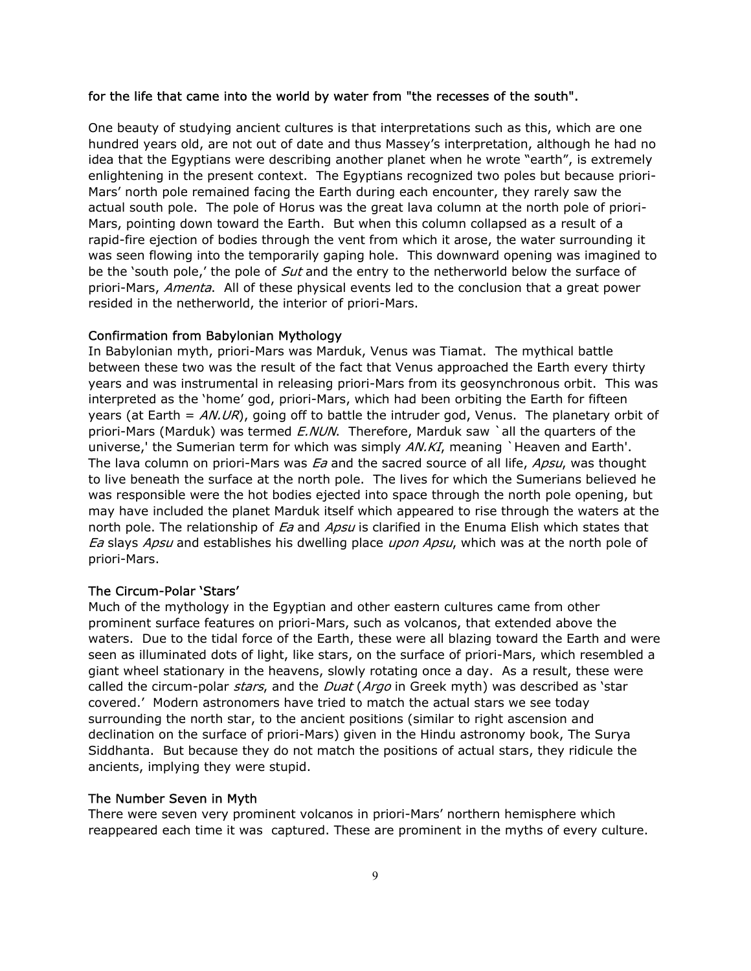## for the life that came into the world by water from "the recesses of the south".

One beauty of studying ancient cultures is that interpretations such as this, which are one hundred years old, are not out of date and thus Massey's interpretation, although he had no idea that the Egyptians were describing another planet when he wrote "earth", is extremely enlightening in the present context. The Egyptians recognized two poles but because priori-Mars' north pole remained facing the Earth during each encounter, they rarely saw the actual south pole. The pole of Horus was the great lava column at the north pole of priori-Mars, pointing down toward the Earth. But when this column collapsed as a result of a rapid-fire ejection of bodies through the vent from which it arose, the water surrounding it was seen flowing into the temporarily gaping hole. This downward opening was imagined to be the 'south pole,' the pole of Sut and the entry to the netherworld below the surface of priori-Mars, Amenta. All of these physical events led to the conclusion that a great power resided in the netherworld, the interior of priori-Mars.

### Confirmation from Babylonian Mythology

In Babylonian myth, priori-Mars was Marduk, Venus was Tiamat. The mythical battle between these two was the result of the fact that Venus approached the Earth every thirty years and was instrumental in releasing priori-Mars from its geosynchronous orbit. This was interpreted as the 'home' god, priori-Mars, which had been orbiting the Earth for fifteen years (at Earth =  $AN.UR$ ), going off to battle the intruder god, Venus. The planetary orbit of priori-Mars (Marduk) was termed E.NUN. Therefore, Marduk saw `all the quarters of the universe,' the Sumerian term for which was simply  $AN.KI$ , meaning `Heaven and Earth'. The lava column on priori-Mars was Ea and the sacred source of all life, Apsu, was thought to live beneath the surface at the north pole. The lives for which the Sumerians believed he was responsible were the hot bodies ejected into space through the north pole opening, but may have included the planet Marduk itself which appeared to rise through the waters at the north pole. The relationship of Ea and Apsu is clarified in the Enuma Elish which states that Ea slays Apsu and establishes his dwelling place upon Apsu, which was at the north pole of priori-Mars.

#### The Circum-Polar 'Stars'

Much of the mythology in the Egyptian and other eastern cultures came from other prominent surface features on priori-Mars, such as volcanos, that extended above the waters. Due to the tidal force of the Earth, these were all blazing toward the Earth and were seen as illuminated dots of light, like stars, on the surface of priori-Mars, which resembled a giant wheel stationary in the heavens, slowly rotating once a day. As a result, these were called the circum-polar stars, and the Duat (Argo in Greek myth) was described as 'star covered.' Modern astronomers have tried to match the actual stars we see today surrounding the north star, to the ancient positions (similar to right ascension and declination on the surface of priori-Mars) given in the Hindu astronomy book, The Surya Siddhanta. But because they do not match the positions of actual stars, they ridicule the ancients, implying they were stupid.

#### The Number Seven in Myth

There were seven very prominent volcanos in priori-Mars' northern hemisphere which reappeared each time it was captured. These are prominent in the myths of every culture.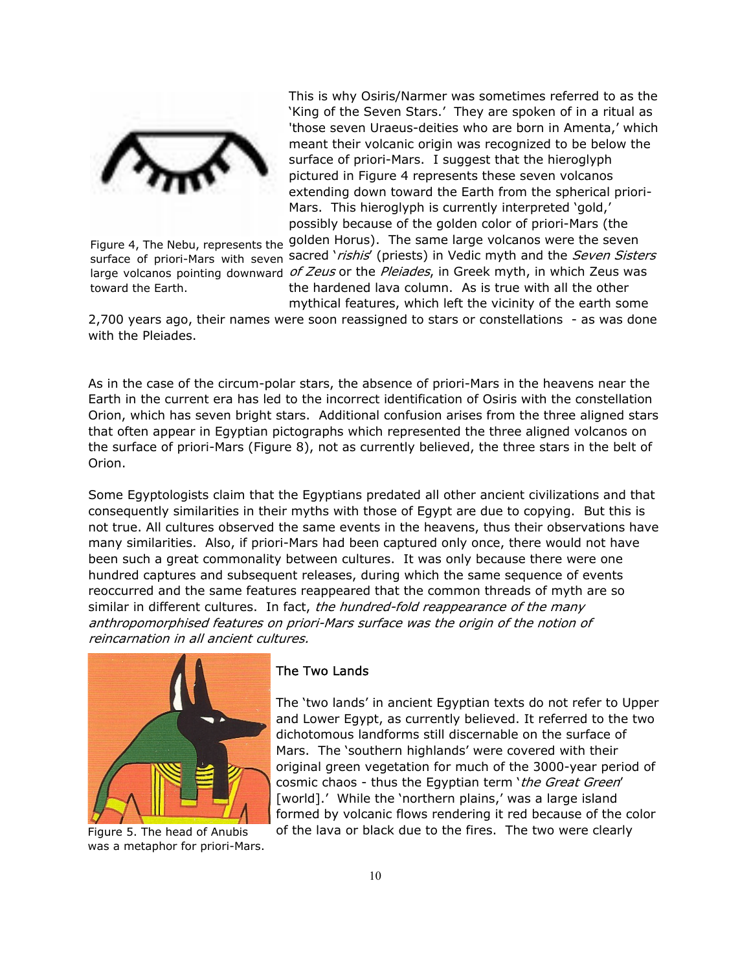

Figure 4, The Nebu, represents the toward the Earth.

This is why Osiris/Narmer was sometimes referred to as the 'King of the Seven Stars.' They are spoken of in a ritual as 'those seven Uraeus-deities who are born in Amenta,' which meant their volcanic origin was recognized to be below the surface of priori-Mars. I suggest that the hieroglyph pictured in Figure 4 represents these seven volcanos extending down toward the Earth from the spherical priori-Mars. This hieroglyph is currently interpreted 'gold,' possibly because of the golden color of priori-Mars (the golden Horus). The same large volcanos were the seven

surface of priori-Mars with seven Sacred 'rishis' (priests) in Vedic myth and the Seven Sisters large volcanos pointing downward *of Zeus* or the *Pleiades*, in Greek myth, in which Zeus was the hardened lava column. As is true with all the other mythical features, which left the vicinity of the earth some

2,700 years ago, their names were soon reassigned to stars or constellations - as was done with the Pleiades.

As in the case of the circum-polar stars, the absence of priori-Mars in the heavens near the Earth in the current era has led to the incorrect identification of Osiris with the constellation Orion, which has seven bright stars. Additional confusion arises from the three aligned stars that often appear in Egyptian pictographs which represented the three aligned volcanos on the surface of priori-Mars (Figure 8), not as currently believed, the three stars in the belt of Orion.

Some Egyptologists claim that the Egyptians predated all other ancient civilizations and that consequently similarities in their myths with those of Egypt are due to copying. But this is not true. All cultures observed the same events in the heavens, thus their observations have many similarities. Also, if priori-Mars had been captured only once, there would not have been such a great commonality between cultures. It was only because there were one hundred captures and subsequent releases, during which the same sequence of events reoccurred and the same features reappeared that the common threads of myth are so similar in different cultures. In fact, the hundred-fold reappearance of the many anthropomorphised features on priori-Mars surface was the origin of the notion of reincarnation in all ancient cultures.



Figure 5. The head of Anubis was a metaphor for priori-Mars.

## The Two Lands

The 'two lands' in ancient Egyptian texts do not refer to Upper and Lower Egypt, as currently believed. It referred to the two dichotomous landforms still discernable on the surface of Mars. The 'southern highlands' were covered with their original green vegetation for much of the 3000-year period of cosmic chaos - thus the Egyptian term 'the Great Green' [world].' While the 'northern plains,' was a large island formed by volcanic flows rendering it red because of the color of the lava or black due to the fires. The two were clearly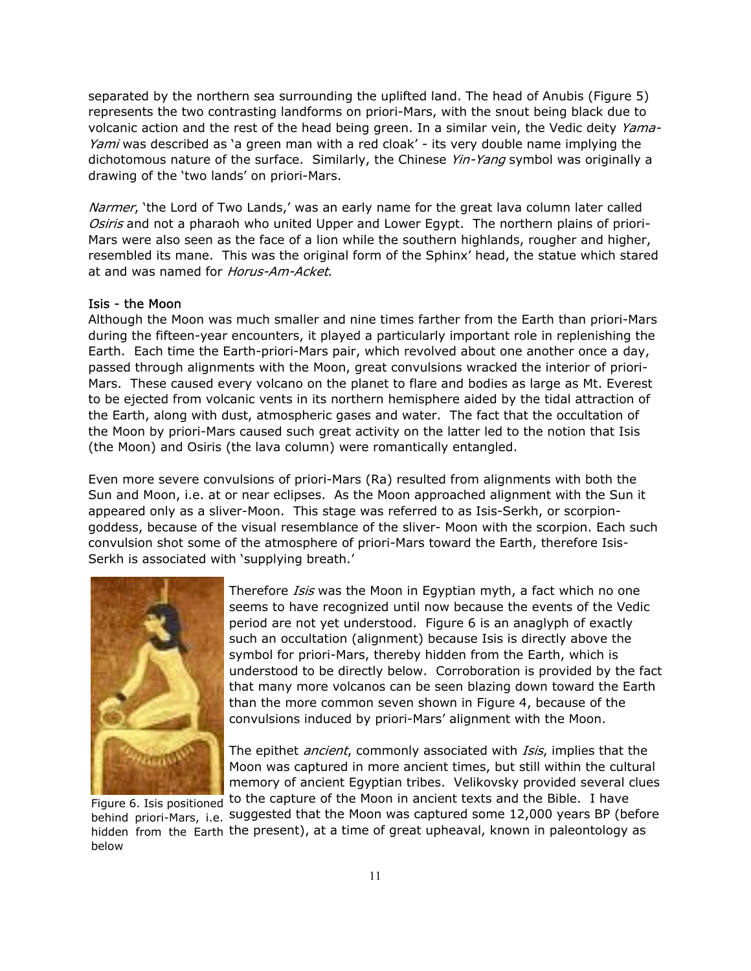separated by the northern sea surrounding the uplifted land. The head of Anubis (Figure 5) represents the two contrasting landforms on priori-Mars, with the snout being black due to volcanic action and the rest of the head being green. In a similar vein, the Vedic deity Yama-Yami was described as 'a green man with a red cloak' - its very double name implying the dichotomous nature of the surface. Similarly, the Chinese Yin-Yang symbol was originally a drawing of the 'two lands' on priori-Mars.

Narmer, 'the Lord of Two Lands,' was an early name for the great lava column later called Osiris and not a pharaoh who united Upper and Lower Egypt. The northern plains of priori-Mars were also seen as the face of a lion while the southern highlands, rougher and higher, resembled its mane. This was the original form of the Sphinx' head, the statue which stared at and was named for Horus-Am-Acket.

## Isis - the Moon

Although the Moon was much smaller and nine times farther from the Earth than priori-Mars during the fifteen-year encounters, it played a particularly important role in replenishing the Earth. Each time the Earth-priori-Mars pair, which revolved about one another once a day, passed through alignments with the Moon, great convulsions wracked the interior of priori-Mars. These caused every volcano on the planet to flare and bodies as large as Mt. Everest to be ejected from volcanic vents in its northern hemisphere aided by the tidal attraction of the Earth, along with dust, atmospheric gases and water. The fact that the occultation of the Moon by priori-Mars caused such great activity on the latter led to the notion that Isis (the Moon) and Osiris (the lava column) were romantically entangled.

Even more severe convulsions of priori-Mars (Ra) resulted from alignments with both the Sun and Moon, i.e. at or near eclipses. As the Moon approached alignment with the Sun it appeared only as a sliver-Moon. This stage was referred to as Isis-Serkh, or scorpiongoddess, because of the visual resemblance of the sliver- Moon with the scorpion. Each such convulsion shot some of the atmosphere of priori-Mars toward the Earth, therefore Isis-Serkh is associated with 'supplying breath.'



Therefore *Isis* was the Moon in Egyptian myth, a fact which no one seems to have recognized until now because the events of the Vedic period are not yet understood. Figure 6 is an anaglyph of exactly such an occultation (alignment) because Isis is directly above the symbol for priori-Mars, thereby hidden from the Earth, which is understood to be directly below. Corroboration is provided by the fact that many more volcanos can be seen blazing down toward the Earth than the more common seven shown in Figure 4, because of the convulsions induced by priori-Mars' alignment with the Moon.

The epithet *ancient*, commonly associated with *Isis*, implies that the Moon was captured in more ancient times, but still within the cultural memory of ancient Egyptian tribes. Velikovsky provided several clues

Figure 6. Isis positioned to the capture of the Moon in ancient texts and the Bible. I have behind priori-Mars, i.e. suggested that the Moon was captured some 12,000 years BP (before hidden from the Earth the present), at a time of great upheaval, known in paleontology as below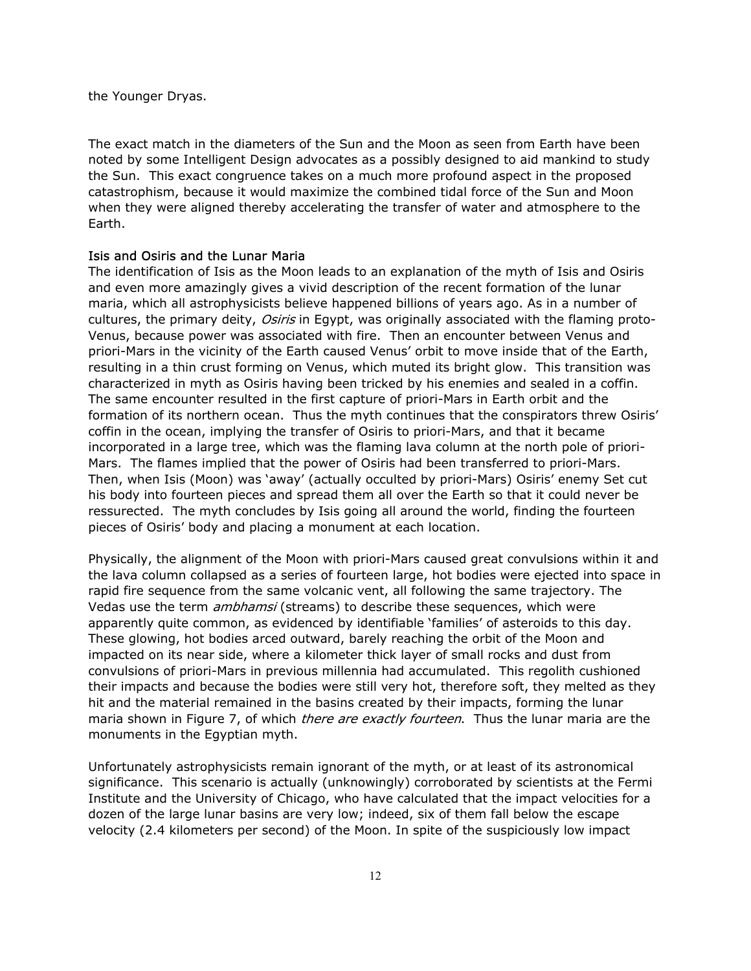the Younger Dryas.

The exact match in the diameters of the Sun and the Moon as seen from Earth have been noted by some Intelligent Design advocates as a possibly designed to aid mankind to study the Sun. This exact congruence takes on a much more profound aspect in the proposed catastrophism, because it would maximize the combined tidal force of the Sun and Moon when they were aligned thereby accelerating the transfer of water and atmosphere to the Earth.

### Isis and Osiris and the Lunar Maria

The identification of Isis as the Moon leads to an explanation of the myth of Isis and Osiris and even more amazingly gives a vivid description of the recent formation of the lunar maria, which all astrophysicists believe happened billions of years ago. As in a number of cultures, the primary deity, *Osiris* in Egypt, was originally associated with the flaming proto-Venus, because power was associated with fire. Then an encounter between Venus and priori-Mars in the vicinity of the Earth caused Venus' orbit to move inside that of the Earth, resulting in a thin crust forming on Venus, which muted its bright glow. This transition was characterized in myth as Osiris having been tricked by his enemies and sealed in a coffin. The same encounter resulted in the first capture of priori-Mars in Earth orbit and the formation of its northern ocean. Thus the myth continues that the conspirators threw Osiris' coffin in the ocean, implying the transfer of Osiris to priori-Mars, and that it became incorporated in a large tree, which was the flaming lava column at the north pole of priori-Mars. The flames implied that the power of Osiris had been transferred to priori-Mars. Then, when Isis (Moon) was 'away' (actually occulted by priori-Mars) Osiris' enemy Set cut his body into fourteen pieces and spread them all over the Earth so that it could never be ressurected. The myth concludes by Isis going all around the world, finding the fourteen pieces of Osiris' body and placing a monument at each location.

Physically, the alignment of the Moon with priori-Mars caused great convulsions within it and the lava column collapsed as a series of fourteen large, hot bodies were ejected into space in rapid fire sequence from the same volcanic vent, all following the same trajectory. The Vedas use the term *ambhamsi* (streams) to describe these sequences, which were apparently quite common, as evidenced by identifiable 'families' of asteroids to this day. These glowing, hot bodies arced outward, barely reaching the orbit of the Moon and impacted on its near side, where a kilometer thick layer of small rocks and dust from convulsions of priori-Mars in previous millennia had accumulated. This regolith cushioned their impacts and because the bodies were still very hot, therefore soft, they melted as they hit and the material remained in the basins created by their impacts, forming the lunar maria shown in Figure 7, of which there are exactly fourteen. Thus the lunar maria are the monuments in the Egyptian myth.

Unfortunately astrophysicists remain ignorant of the myth, or at least of its astronomical significance. This scenario is actually (unknowingly) corroborated by scientists at the Fermi Institute and the University of Chicago, who have calculated that the impact velocities for a dozen of the large lunar basins are very low; indeed, six of them fall below the escape velocity (2.4 kilometers per second) of the Moon. In spite of the suspiciously low impact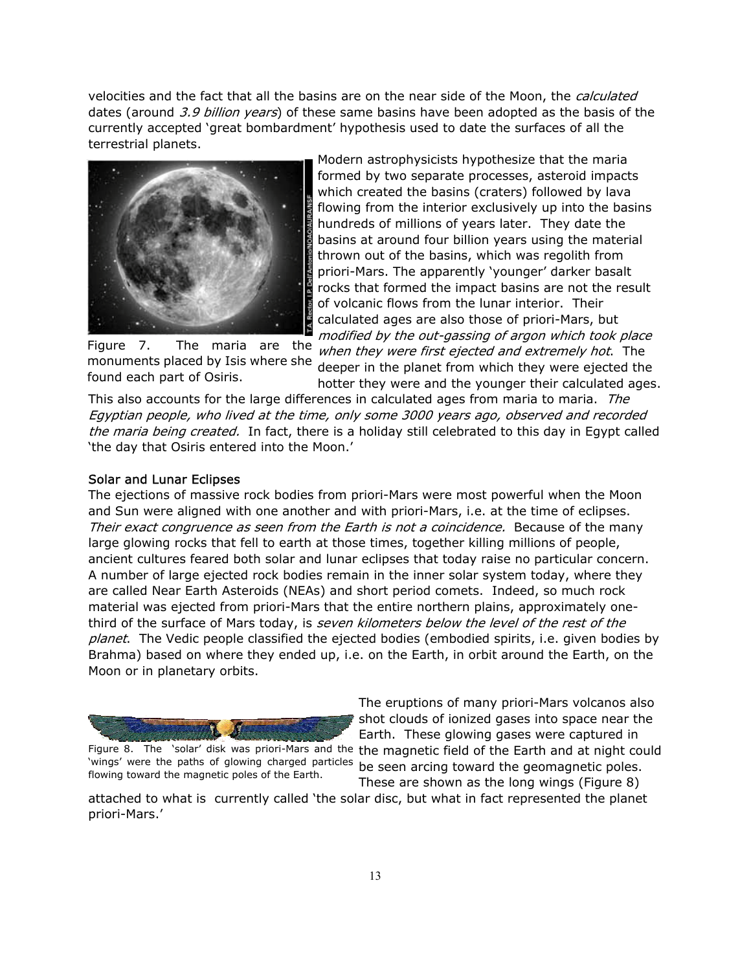velocities and the fact that all the basins are on the near side of the Moon, the *calculated* dates (around 3.9 billion years) of these same basins have been adopted as the basis of the currently accepted 'great bombardment' hypothesis used to date the surfaces of all the terrestrial planets.



Modern astrophysicists hypothesize that the maria formed by two separate processes, asteroid impacts which created the basins (craters) followed by lava flowing from the interior exclusively up into the basins hundreds of millions of years later. They date the basins at around four billion years using the material thrown out of the basins, which was regolith from priori-Mars. The apparently 'younger' darker basalt rocks that formed the impact basins are not the result of volcanic flows from the lunar interior. Their calculated ages are also those of priori-Mars, but modified by the out-gassing of argon which took place

Figure 7. The maria are the monuments placed by Isis where she found each part of Osiris.

when they were first ejected and extremely hot. The deeper in the planet from which they were ejected the hotter they were and the younger their calculated ages.

This also accounts for the large differences in calculated ages from maria to maria. The Egyptian people, who lived at the time, only some 3000 years ago, observed and recorded the maria being created. In fact, there is a holiday still celebrated to this day in Egypt called 'the day that Osiris entered into the Moon.'

### Solar and Lunar Eclipses

The ejections of massive rock bodies from priori-Mars were most powerful when the Moon and Sun were aligned with one another and with priori-Mars, i.e. at the time of eclipses. Their exact congruence as seen from the Earth is not a coincidence. Because of the many large glowing rocks that fell to earth at those times, together killing millions of people, ancient cultures feared both solar and lunar eclipses that today raise no particular concern. A number of large ejected rock bodies remain in the inner solar system today, where they are called Near Earth Asteroids (NEAs) and short period comets. Indeed, so much rock material was ejected from priori-Mars that the entire northern plains, approximately onethird of the surface of Mars today, is seven kilometers below the level of the rest of the planet. The Vedic people classified the ejected bodies (embodied spirits, i.e. given bodies by Brahma) based on where they ended up, i.e. on the Earth, in orbit around the Earth, on the Moon or in planetary orbits.



'wings' were the paths of glowing charged particles flowing toward the magnetic poles of the Earth.

The eruptions of many priori-Mars volcanos also shot clouds of ionized gases into space near the Earth. These glowing gases were captured in Figure 8. The 'solar' disk was priori-Mars and the the magnetic field of the Earth and at night could be seen arcing toward the geomagnetic poles. These are shown as the long wings (Figure 8)

attached to what is currently called 'the solar disc, but what in fact represented the planet priori-Mars.'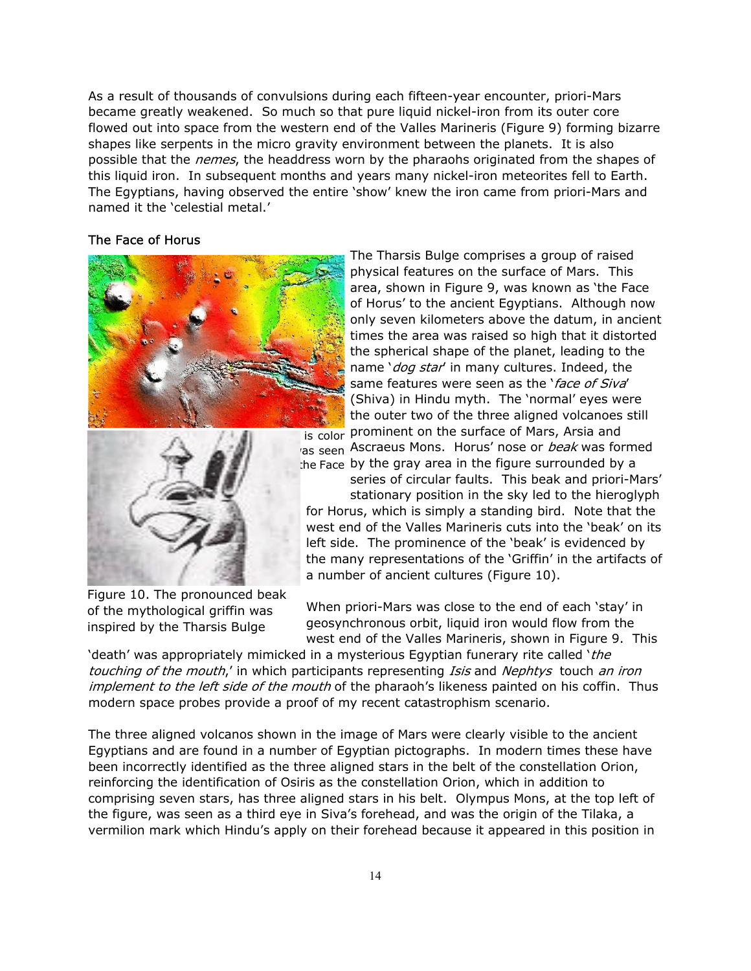As a result of thousands of convulsions during each fifteen-year encounter, priori-Mars became greatly weakened. So much so that pure liquid nickel-iron from its outer core flowed out into space from the western end of the Valles Marineris (Figure 9) forming bizarre shapes like serpents in the micro gravity environment between the planets. It is also possible that the *nemes*, the headdress worn by the pharaohs originated from the shapes of this liquid iron. In subsequent months and years many nickel-iron meteorites fell to Earth. The Egyptians, having observed the entire 'show' knew the iron came from priori-Mars and named it the 'celestial metal.'

#### The Face of Horus





Figure 10. The pronounced beak of the mythological griffin was inspired by the Tharsis Bulge

Figure 9. The Tharsis region of Mars, Arsia and is color prominent on the surface of Mars, Arsia and coded to show the seen Ascraeus Mons. Horus' nose or *beak* was formed The Tharsis Bulge comprises a group of raised physical features on the surface of Mars. This area, shown in Figure 9, was known as 'the Face of Horus' to the ancient Egyptians. Although now only seven kilometers above the datum, in ancient times the area was raised so high that it distorted the spherical shape of the planet, leading to the name 'dog star' in many cultures. Indeed, the same features were seen as the 'face of Siva' (Shiva) in Hindu myth. The 'normal' eyes were the outer two of the three aligned volcanoes still

as the Face by the gray area in the figure surrounded by a series of circular faults. This beak and priori-Mars'

stationary position in the sky led to the hieroglyph for Horus, which is simply a standing bird. Note that the west end of the Valles Marineris cuts into the 'beak' on its left side. The prominence of the 'beak' is evidenced by the many representations of the 'Griffin' in the artifacts of a number of ancient cultures (Figure 10).

When priori-Mars was close to the end of each 'stay' in geosynchronous orbit, liquid iron would flow from the west end of the Valles Marineris, shown in Figure 9. This

'death' was appropriately mimicked in a mysterious Egyptian funerary rite called 'the touching of the mouth,' in which participants representing Isis and Nephtys touch an iron implement to the left side of the mouth of the pharaoh's likeness painted on his coffin. Thus modern space probes provide a proof of my recent catastrophism scenario.

The three aligned volcanos shown in the image of Mars were clearly visible to the ancient Egyptians and are found in a number of Egyptian pictographs. In modern times these have been incorrectly identified as the three aligned stars in the belt of the constellation Orion, reinforcing the identification of Osiris as the constellation Orion, which in addition to comprising seven stars, has three aligned stars in his belt. Olympus Mons, at the top left of the figure, was seen as a third eye in Siva's forehead, and was the origin of the Tilaka, a vermilion mark which Hindu's apply on their forehead because it appeared in this position in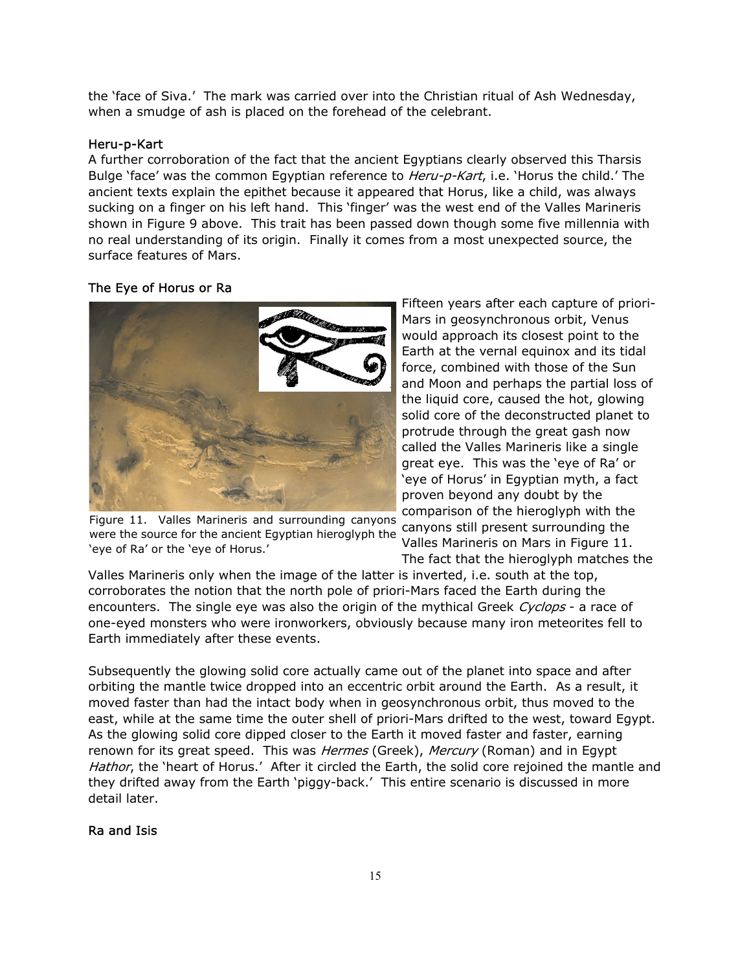the 'face of Siva.' The mark was carried over into the Christian ritual of Ash Wednesday, when a smudge of ash is placed on the forehead of the celebrant.

## Heru-p-Kart

A further corroboration of the fact that the ancient Egyptians clearly observed this Tharsis Bulge 'face' was the common Egyptian reference to *Heru-p-Kart*, i.e. 'Horus the child.' The ancient texts explain the epithet because it appeared that Horus, like a child, was always sucking on a finger on his left hand. This 'finger' was the west end of the Valles Marineris shown in Figure 9 above. This trait has been passed down though some five millennia with no real understanding of its origin. Finally it comes from a most unexpected source, the surface features of Mars.

## The Eye of Horus or Ra



Figure 11. Valles Marineris and surrounding canyons were the source for the ancient Egyptian hieroglyph the 'eye of Ra' or the 'eye of Horus.'

Fifteen years after each capture of priori-Mars in geosynchronous orbit, Venus would approach its closest point to the Earth at the vernal equinox and its tidal force, combined with those of the Sun and Moon and perhaps the partial loss of the liquid core, caused the hot, glowing solid core of the deconstructed planet to protrude through the great gash now called the Valles Marineris like a single great eye. This was the 'eye of Ra' or 'eye of Horus' in Egyptian myth, a fact proven beyond any doubt by the comparison of the hieroglyph with the canyons still present surrounding the Valles Marineris on Mars in Figure 11.

The fact that the hieroglyph matches the

Valles Marineris only when the image of the latter is inverted, i.e. south at the top, corroborates the notion that the north pole of priori-Mars faced the Earth during the encounters. The single eye was also the origin of the mythical Greek Cyclops - a race of one-eyed monsters who were ironworkers, obviously because many iron meteorites fell to Earth immediately after these events.

Subsequently the glowing solid core actually came out of the planet into space and after orbiting the mantle twice dropped into an eccentric orbit around the Earth. As a result, it moved faster than had the intact body when in geosynchronous orbit, thus moved to the east, while at the same time the outer shell of priori-Mars drifted to the west, toward Egypt. As the glowing solid core dipped closer to the Earth it moved faster and faster, earning renown for its great speed. This was *Hermes* (Greek), Mercury (Roman) and in Egypt Hathor, the 'heart of Horus.' After it circled the Earth, the solid core rejoined the mantle and they drifted away from the Earth 'piggy-back.' This entire scenario is discussed in more detail later.

## Ra and Isis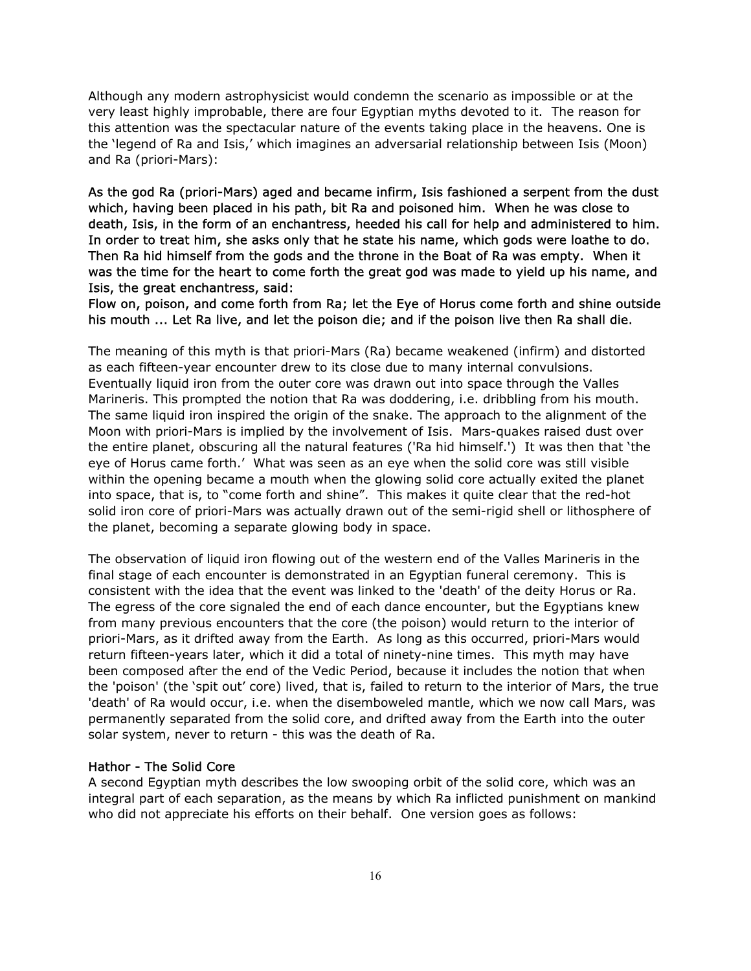Although any modern astrophysicist would condemn the scenario as impossible or at the very least highly improbable, there are four Egyptian myths devoted to it. The reason for this attention was the spectacular nature of the events taking place in the heavens. One is the 'legend of Ra and Isis,' which imagines an adversarial relationship between Isis (Moon) and Ra (priori-Mars):

As the god Ra (priori-Mars) aged and became infirm, Isis fashioned a serpent from the dust which, having been placed in his path, bit Ra and poisoned him. When he was close to death, Isis, in the form of an enchantress, heeded his call for help and administered to him. In order to treat him, she asks only that he state his name, which gods were loathe to do. Then Ra hid himself from the gods and the throne in the Boat of Ra was empty. When it was the time for the heart to come forth the great god was made to yield up his name, and Isis, the great enchantress, said:

Flow on, poison, and come forth from Ra; let the Eye of Horus come forth and shine outside his mouth ... Let Ra live, and let the poison die; and if the poison live then Ra shall die.

The meaning of this myth is that priori-Mars (Ra) became weakened (infirm) and distorted as each fifteen-year encounter drew to its close due to many internal convulsions. Eventually liquid iron from the outer core was drawn out into space through the Valles Marineris. This prompted the notion that Ra was doddering, i.e. dribbling from his mouth. The same liquid iron inspired the origin of the snake. The approach to the alignment of the Moon with priori-Mars is implied by the involvement of Isis. Mars-quakes raised dust over the entire planet, obscuring all the natural features ('Ra hid himself.') It was then that 'the eye of Horus came forth.' What was seen as an eye when the solid core was still visible within the opening became a mouth when the glowing solid core actually exited the planet into space, that is, to "come forth and shine". This makes it quite clear that the red-hot solid iron core of priori-Mars was actually drawn out of the semi-rigid shell or lithosphere of the planet, becoming a separate glowing body in space.

The observation of liquid iron flowing out of the western end of the Valles Marineris in the final stage of each encounter is demonstrated in an Egyptian funeral ceremony. This is consistent with the idea that the event was linked to the 'death' of the deity Horus or Ra. The egress of the core signaled the end of each dance encounter, but the Egyptians knew from many previous encounters that the core (the poison) would return to the interior of priori-Mars, as it drifted away from the Earth. As long as this occurred, priori-Mars would return fifteen-years later, which it did a total of ninety-nine times. This myth may have been composed after the end of the Vedic Period, because it includes the notion that when the 'poison' (the 'spit out' core) lived, that is, failed to return to the interior of Mars, the true 'death' of Ra would occur, i.e. when the disemboweled mantle, which we now call Mars, was permanently separated from the solid core, and drifted away from the Earth into the outer solar system, never to return - this was the death of Ra.

#### Hathor - The Solid Core

A second Egyptian myth describes the low swooping orbit of the solid core, which was an integral part of each separation, as the means by which Ra inflicted punishment on mankind who did not appreciate his efforts on their behalf. One version goes as follows: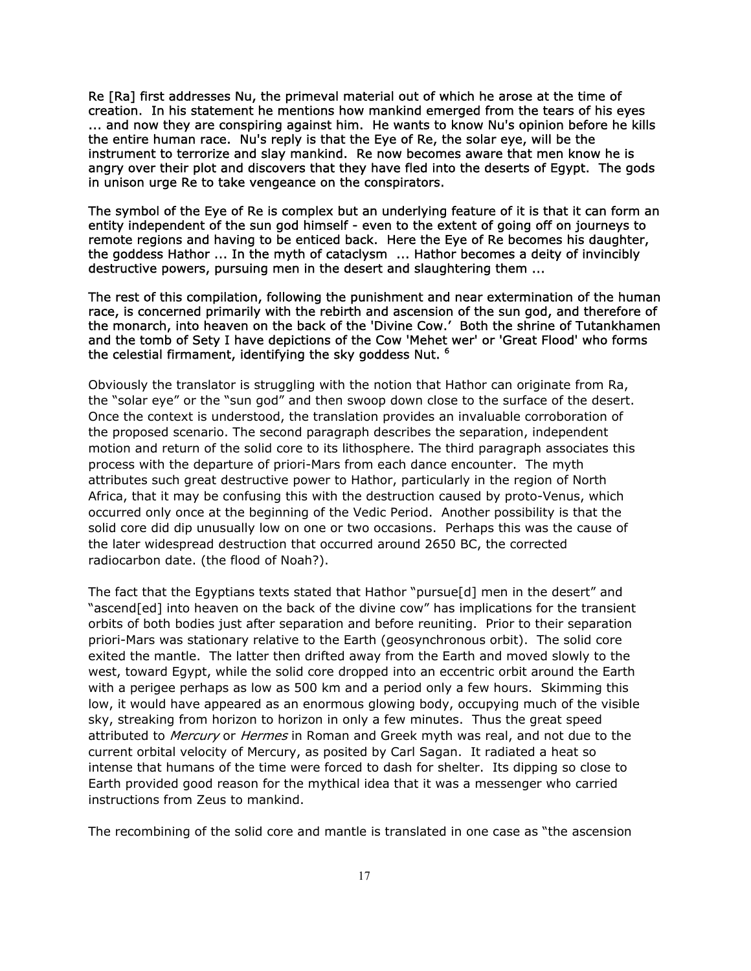Re [Ra] first addresses Nu, the primeval material out of which he arose at the time of creation. In his statement he mentions how mankind emerged from the tears of his eyes ... and now they are conspiring against him. He wants to know Nu's opinion before he kills the entire human race. Nu's reply is that the Eye of Re, the solar eye, will be the instrument to terrorize and slay mankind. Re now becomes aware that men know he is angry over their plot and discovers that they have fled into the deserts of Egypt. The gods in unison urge Re to take vengeance on the conspirators.

The symbol of the Eye of Re is complex but an underlying feature of it is that it can form an entity independent of the sun god himself - even to the extent of going off on journeys to remote regions and having to be enticed back. Here the Eye of Re becomes his daughter, the goddess Hathor ... In the myth of cataclysm ... Hathor becomes a deity of invincibly destructive powers, pursuing men in the desert and slaughtering them ...

The rest of this compilation, following the punishment and near extermination of the human race, is concerned primarily with the rebirth and ascension of the sun god, and therefore of the monarch, into heaven on the back of the 'Divine Cow.' Both the shrine of Tutankhamen and the tomb of Sety I have depictions of the Cow 'Mehet wer' or 'Great Flood' who forms the celestial firmament, identifying the sky goddess Nut. <sup>6</sup>

Obviously the translator is struggling with the notion that Hathor can originate from Ra, the "solar eye" or the "sun god" and then swoop down close to the surface of the desert. Once the context is understood, the translation provides an invaluable corroboration of the proposed scenario. The second paragraph describes the separation, independent motion and return of the solid core to its lithosphere. The third paragraph associates this process with the departure of priori-Mars from each dance encounter. The myth attributes such great destructive power to Hathor, particularly in the region of North Africa, that it may be confusing this with the destruction caused by proto-Venus, which occurred only once at the beginning of the Vedic Period. Another possibility is that the solid core did dip unusually low on one or two occasions. Perhaps this was the cause of the later widespread destruction that occurred around 2650 BC, the corrected radiocarbon date. (the flood of Noah?).

The fact that the Egyptians texts stated that Hathor "pursue[d] men in the desert" and "ascend[ed] into heaven on the back of the divine cow" has implications for the transient orbits of both bodies just after separation and before reuniting. Prior to their separation priori-Mars was stationary relative to the Earth (geosynchronous orbit). The solid core exited the mantle. The latter then drifted away from the Earth and moved slowly to the west, toward Egypt, while the solid core dropped into an eccentric orbit around the Earth with a perigee perhaps as low as 500 km and a period only a few hours. Skimming this low, it would have appeared as an enormous glowing body, occupying much of the visible sky, streaking from horizon to horizon in only a few minutes. Thus the great speed attributed to Mercury or Hermes in Roman and Greek myth was real, and not due to the current orbital velocity of Mercury, as posited by Carl Sagan. It radiated a heat so intense that humans of the time were forced to dash for shelter. Its dipping so close to Earth provided good reason for the mythical idea that it was a messenger who carried instructions from Zeus to mankind.

The recombining of the solid core and mantle is translated in one case as "the ascension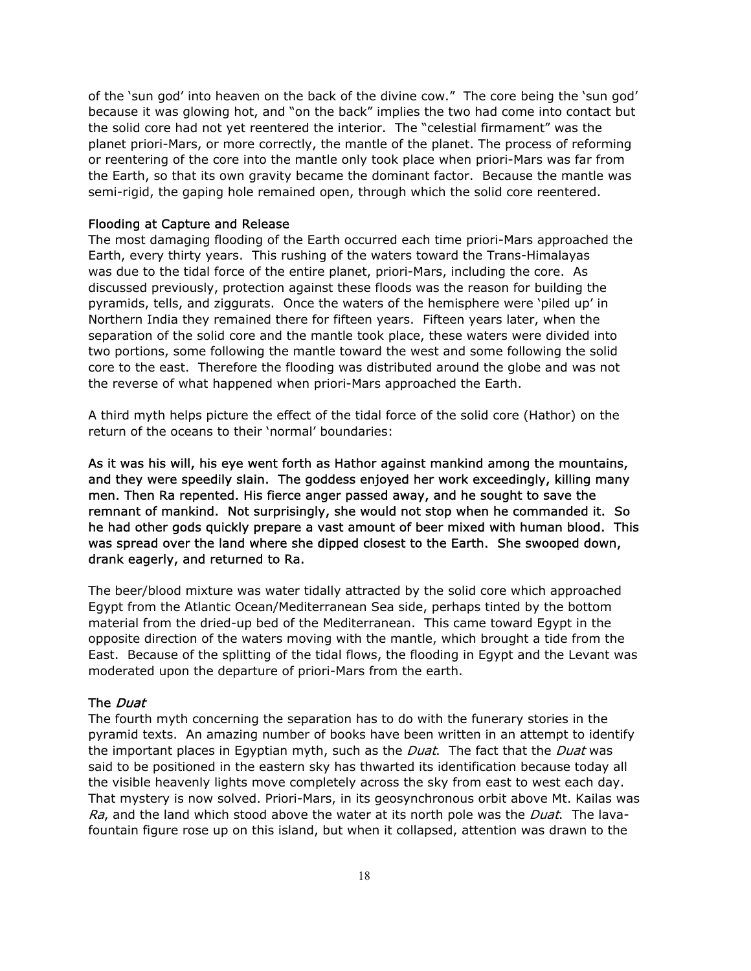of the 'sun god' into heaven on the back of the divine cow." The core being the 'sun god' because it was glowing hot, and "on the back" implies the two had come into contact but the solid core had not yet reentered the interior. The "celestial firmament" was the planet priori-Mars, or more correctly, the mantle of the planet. The process of reforming or reentering of the core into the mantle only took place when priori-Mars was far from the Earth, so that its own gravity became the dominant factor. Because the mantle was semi-rigid, the gaping hole remained open, through which the solid core reentered.

### Flooding at Capture and Release

The most damaging flooding of the Earth occurred each time priori-Mars approached the Earth, every thirty years. This rushing of the waters toward the Trans-Himalayas was due to the tidal force of the entire planet, priori-Mars, including the core. As discussed previously, protection against these floods was the reason for building the pyramids, tells, and ziggurats. Once the waters of the hemisphere were 'piled up' in Northern India they remained there for fifteen years. Fifteen years later, when the separation of the solid core and the mantle took place, these waters were divided into two portions, some following the mantle toward the west and some following the solid core to the east. Therefore the flooding was distributed around the globe and was not the reverse of what happened when priori-Mars approached the Earth.

A third myth helps picture the effect of the tidal force of the solid core (Hathor) on the return of the oceans to their 'normal' boundaries:

As it was his will, his eye went forth as Hathor against mankind among the mountains, and they were speedily slain. The goddess enjoyed her work exceedingly, killing many men. Then Ra repented. His fierce anger passed away, and he sought to save the remnant of mankind. Not surprisingly, she would not stop when he commanded it. So he had other gods quickly prepare a vast amount of beer mixed with human blood. This was spread over the land where she dipped closest to the Earth. She swooped down, drank eagerly, and returned to Ra.

The beer/blood mixture was water tidally attracted by the solid core which approached Egypt from the Atlantic Ocean/Mediterranean Sea side, perhaps tinted by the bottom material from the dried-up bed of the Mediterranean. This came toward Egypt in the opposite direction of the waters moving with the mantle, which brought a tide from the East. Because of the splitting of the tidal flows, the flooding in Egypt and the Levant was moderated upon the departure of priori-Mars from the earth.

## The *Duat*

The fourth myth concerning the separation has to do with the funerary stories in the pyramid texts. An amazing number of books have been written in an attempt to identify the important places in Egyptian myth, such as the *Duat*. The fact that the *Duat* was said to be positioned in the eastern sky has thwarted its identification because today all the visible heavenly lights move completely across the sky from east to west each day. That mystery is now solved. Priori-Mars, in its geosynchronous orbit above Mt. Kailas was Ra, and the land which stood above the water at its north pole was the Duat. The lavafountain figure rose up on this island, but when it collapsed, attention was drawn to the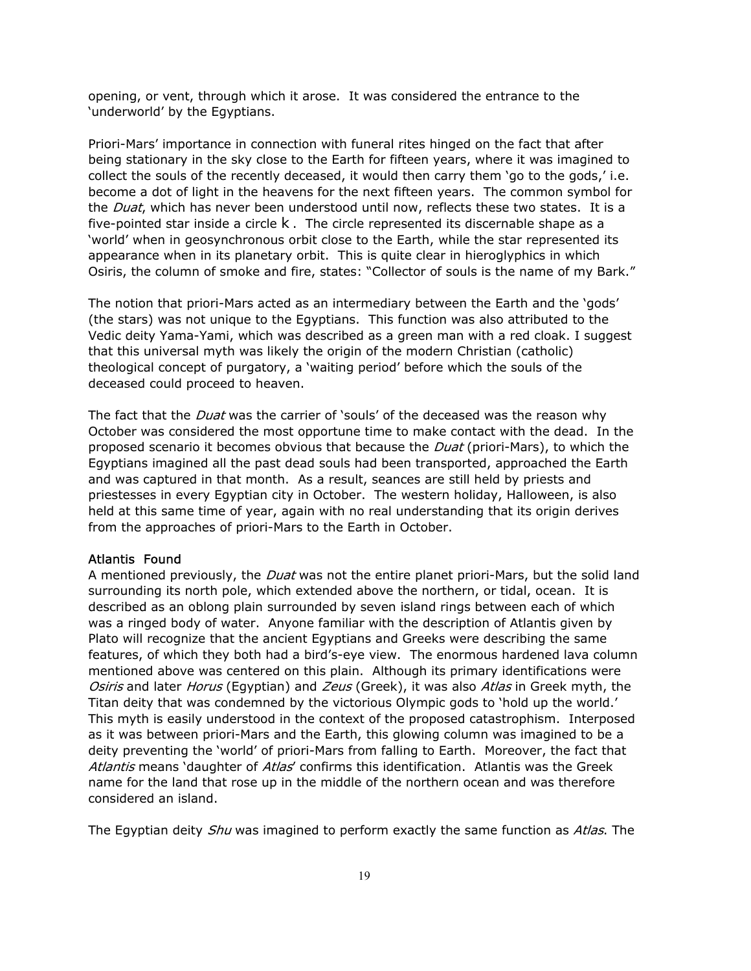opening, or vent, through which it arose. It was considered the entrance to the 'underworld' by the Egyptians.

Priori-Mars' importance in connection with funeral rites hinged on the fact that after being stationary in the sky close to the Earth for fifteen years, where it was imagined to collect the souls of the recently deceased, it would then carry them 'go to the gods,' i.e. become a dot of light in the heavens for the next fifteen years. The common symbol for the *Duat*, which has never been understood until now, reflects these two states. It is a five-pointed star inside a circle k. The circle represented its discernable shape as a 'world' when in geosynchronous orbit close to the Earth, while the star represented its appearance when in its planetary orbit. This is quite clear in hieroglyphics in which Osiris, the column of smoke and fire, states: "Collector of souls is the name of my Bark."

The notion that priori-Mars acted as an intermediary between the Earth and the 'gods' (the stars) was not unique to the Egyptians. This function was also attributed to the Vedic deity Yama-Yami, which was described as a green man with a red cloak. I suggest that this universal myth was likely the origin of the modern Christian (catholic) theological concept of purgatory, a 'waiting period' before which the souls of the deceased could proceed to heaven.

The fact that the *Duat* was the carrier of 'souls' of the deceased was the reason why October was considered the most opportune time to make contact with the dead. In the proposed scenario it becomes obvious that because the *Duat* (priori-Mars), to which the Egyptians imagined all the past dead souls had been transported, approached the Earth and was captured in that month. As a result, seances are still held by priests and priestesses in every Egyptian city in October. The western holiday, Halloween, is also held at this same time of year, again with no real understanding that its origin derives from the approaches of priori-Mars to the Earth in October.

## Atlantis Found

A mentioned previously, the *Duat* was not the entire planet priori-Mars, but the solid land surrounding its north pole, which extended above the northern, or tidal, ocean. It is described as an oblong plain surrounded by seven island rings between each of which was a ringed body of water. Anyone familiar with the description of Atlantis given by Plato will recognize that the ancient Egyptians and Greeks were describing the same features, of which they both had a bird's-eye view. The enormous hardened lava column mentioned above was centered on this plain. Although its primary identifications were Osiris and later Horus (Egyptian) and Zeus (Greek), it was also Atlas in Greek myth, the Titan deity that was condemned by the victorious Olympic gods to 'hold up the world.' This myth is easily understood in the context of the proposed catastrophism. Interposed as it was between priori-Mars and the Earth, this glowing column was imagined to be a deity preventing the 'world' of priori-Mars from falling to Earth. Moreover, the fact that Atlantis means 'daughter of Atlas' confirms this identification. Atlantis was the Greek name for the land that rose up in the middle of the northern ocean and was therefore considered an island.

The Egyptian deity *Shu* was imagined to perform exactly the same function as *Atlas*. The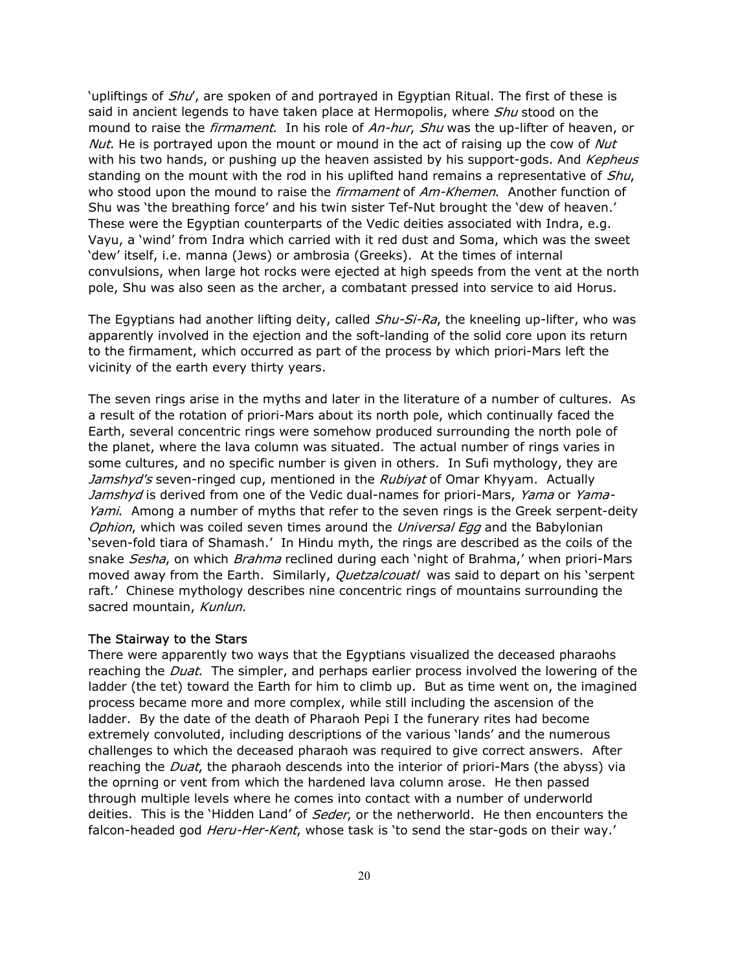'upliftings of  $Sh\nu'$ , are spoken of and portrayed in Egyptian Ritual. The first of these is said in ancient legends to have taken place at Hermopolis, where *Shu* stood on the mound to raise the *firmament*. In his role of An-hur, Shu was the up-lifter of heaven, or Nut. He is portrayed upon the mount or mound in the act of raising up the cow of Nut with his two hands, or pushing up the heaven assisted by his support-gods. And Kepheus standing on the mount with the rod in his uplifted hand remains a representative of Shu, who stood upon the mound to raise the *firmament* of Am-Khemen. Another function of Shu was 'the breathing force' and his twin sister Tef-Nut brought the 'dew of heaven.' These were the Egyptian counterparts of the Vedic deities associated with Indra, e.g. Vayu, a 'wind' from Indra which carried with it red dust and Soma, which was the sweet 'dew' itself, i.e. manna (Jews) or ambrosia (Greeks). At the times of internal convulsions, when large hot rocks were ejected at high speeds from the vent at the north pole, Shu was also seen as the archer, a combatant pressed into service to aid Horus.

The Egyptians had another lifting deity, called *Shu-Si-Ra*, the kneeling up-lifter, who was apparently involved in the ejection and the soft-landing of the solid core upon its return to the firmament, which occurred as part of the process by which priori-Mars left the vicinity of the earth every thirty years.

The seven rings arise in the myths and later in the literature of a number of cultures. As a result of the rotation of priori-Mars about its north pole, which continually faced the Earth, several concentric rings were somehow produced surrounding the north pole of the planet, where the lava column was situated. The actual number of rings varies in some cultures, and no specific number is given in others. In Sufi mythology, they are Jamshyd's seven-ringed cup, mentioned in the Rubiyat of Omar Khyyam. Actually Jamshyd is derived from one of the Vedic dual-names for priori-Mars, Yama or Yama-Yami. Among a number of myths that refer to the seven rings is the Greek serpent-deity Ophion, which was coiled seven times around the Universal Egg and the Babylonian 'seven-fold tiara of Shamash.' In Hindu myth, the rings are described as the coils of the snake *Sesha*, on which *Brahma* reclined during each 'night of Brahma,' when priori-Mars moved away from the Earth. Similarly, Quetzalcouatl was said to depart on his 'serpent raft.' Chinese mythology describes nine concentric rings of mountains surrounding the sacred mountain, Kunlun.

#### The Stairway to the Stars

There were apparently two ways that the Egyptians visualized the deceased pharaohs reaching the *Duat*. The simpler, and perhaps earlier process involved the lowering of the ladder (the tet) toward the Earth for him to climb up. But as time went on, the imagined process became more and more complex, while still including the ascension of the ladder. By the date of the death of Pharaoh Pepi I the funerary rites had become extremely convoluted, including descriptions of the various 'lands' and the numerous challenges to which the deceased pharaoh was required to give correct answers. After reaching the *Duat*, the pharaoh descends into the interior of priori-Mars (the abyss) via the oprning or vent from which the hardened lava column arose. He then passed through multiple levels where he comes into contact with a number of underworld deities. This is the 'Hidden Land' of Seder, or the netherworld. He then encounters the falcon-headed god *Heru-Her-Kent*, whose task is 'to send the star-gods on their way.'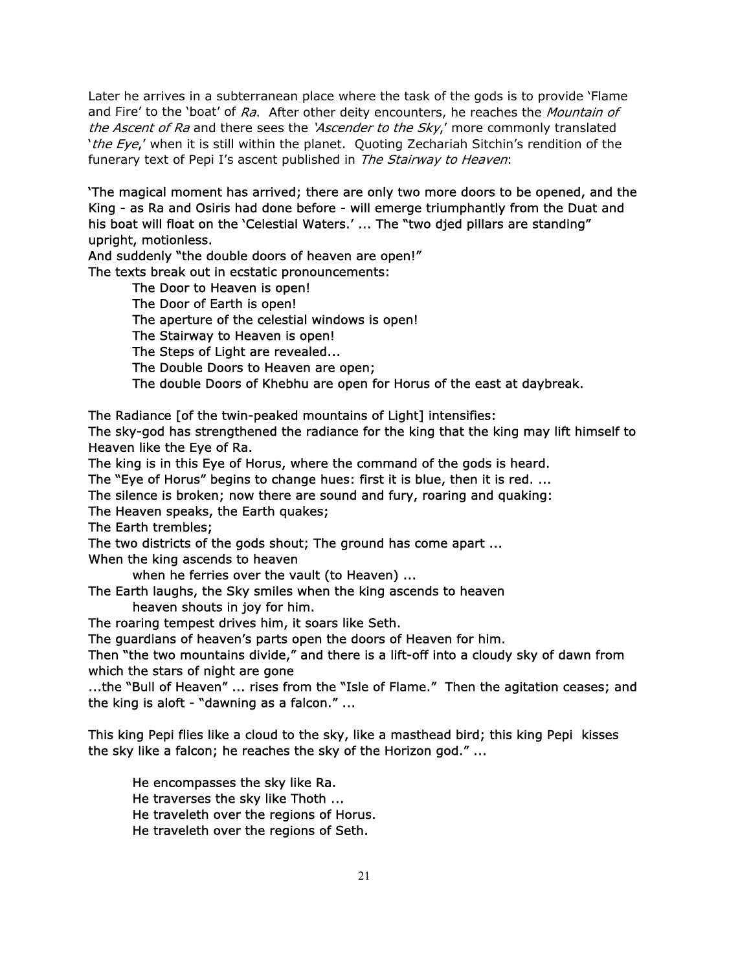Later he arrives in a subterranean place where the task of the gods is to provide 'Flame and Fire' to the 'boat' of Ra. After other deity encounters, he reaches the *Mountain of* the Ascent of Ra and there sees the 'Ascender to the Sky,' more commonly translated 'the Eye,' when it is still within the planet. Quoting Zechariah Sitchin's rendition of the funerary text of Pepi I's ascent published in The Stairway to Heaven:

'The magical moment has arrived; there are only two more doors to be opened, and the King - as Ra and Osiris had done before - will emerge triumphantly from the Duat and his boat will float on the 'Celestial Waters.' ... The "two died pillars are standing" upright, motionless.

And suddenly "the double doors of heaven are open!"

The texts break out in ecstatic pronouncements:

The Door to Heaven is open! The Door of Earth is open! The aperture of the celestial windows is open! The Stairway to Heaven is open! The Steps of Light are revealed... The Double Doors to Heaven are open; The double Doors of Khebhu are open for Horus of the east at daybreak.

The Radiance [of the twin-peaked mountains of Light] intensifies:

The sky-god has strengthened the radiance for the king that the king may lift himself to Heaven like the Eye of Ra.

The king is in this Eye of Horus, where the command of the gods is heard.

The "Eye of Horus" begins to change hues: first it is blue, then it is red. ...

The silence is broken; now there are sound and fury, roaring and quaking:

The Heaven speaks, the Earth quakes;

The Earth trembles;

The two districts of the gods shout; The ground has come apart ...

When the king ascends to heaven

when he ferries over the vault (to Heaven) ...

The Earth laughs, the Sky smiles when the king ascends to heaven

heaven shouts in joy for him.

The roaring tempest drives him, it soars like Seth.

The guardians of heaven's parts open the doors of Heaven for him.

Then "the two mountains divide," and there is a lift-off into a cloudy sky of dawn from which the stars of night are gone

...the "Bull of Heaven" ... rises from the "Isle of Flame." Then the agitation ceases; and the king is aloft - "dawning as a falcon." ...

This king Pepi flies like a cloud to the sky, like a masthead bird; this king Pepi kisses the sky like a falcon; he reaches the sky of the Horizon god." ...

He encompasses the sky like Ra. He traverses the sky like Thoth ... He traveleth over the regions of Horus. He traveleth over the regions of Seth.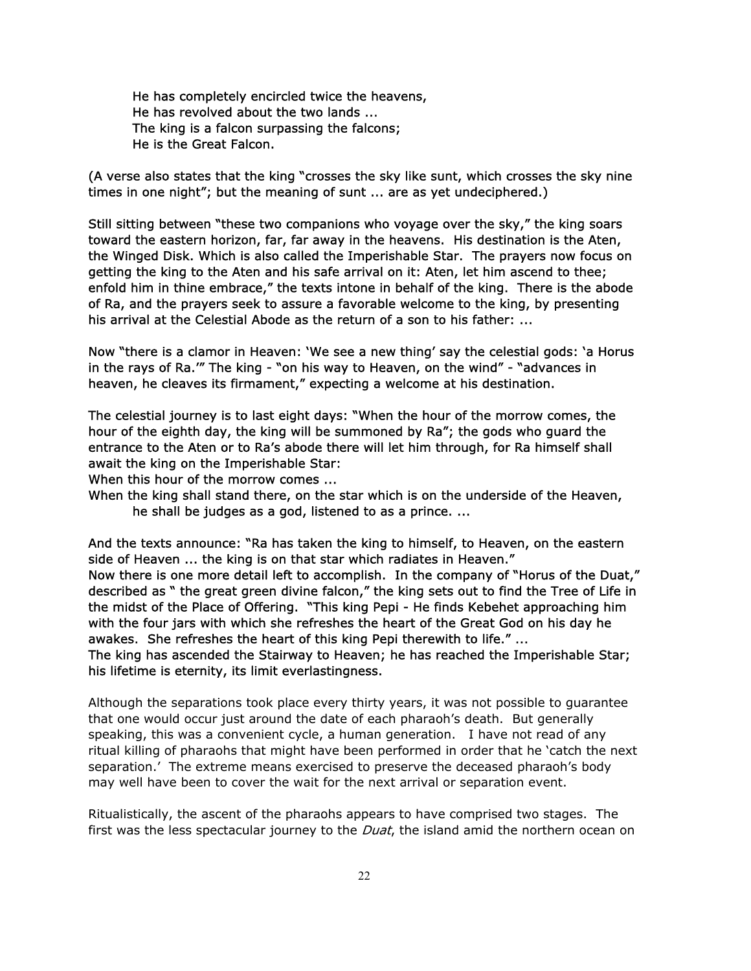He has completely encircled twice the heavens, He has revolved about the two lands ... The king is a falcon surpassing the falcons; He is the Great Falcon.

(A verse also states that the king "crosses the sky like sunt, which crosses the sky nine times in one night"; but the meaning of sunt ... are as yet undeciphered.)

Still sitting between "these two companions who voyage over the sky," the king soars toward the eastern horizon, far, far away in the heavens. His destination is the Aten, the Winged Disk. Which is also called the Imperishable Star. The prayers now focus on getting the king to the Aten and his safe arrival on it: Aten, let him ascend to thee; enfold him in thine embrace," the texts intone in behalf of the king. There is the abode of Ra, and the prayers seek to assure a favorable welcome to the king, by presenting his arrival at the Celestial Abode as the return of a son to his father: ...

Now "there is a clamor in Heaven: 'We see a new thing' say the celestial gods: 'a Horus in the rays of Ra.'" The king - "on his way to Heaven, on the wind" - "advances in heaven, he cleaves its firmament," expecting a welcome at his destination.

The celestial journey is to last eight days: "When the hour of the morrow comes, the hour of the eighth day, the king will be summoned by Ra"; the gods who guard the entrance to the Aten or to Ra's abode there will let him through, for Ra himself shall await the king on the Imperishable Star:

When this hour of the morrow comes ...

When the king shall stand there, on the star which is on the underside of the Heaven, he shall be judges as a god, listened to as a prince. ...

And the texts announce: "Ra has taken the king to himself, to Heaven, on the eastern side of Heaven ... the king is on that star which radiates in Heaven."

Now there is one more detail left to accomplish. In the company of "Horus of the Duat," described as " the great green divine falcon," the king sets out to find the Tree of Life in the midst of the Place of Offering. "This king Pepi - He finds Kebehet approaching him with the four jars with which she refreshes the heart of the Great God on his day he awakes. She refreshes the heart of this king Pepi therewith to life." ...

The king has ascended the Stairway to Heaven; he has reached the Imperishable Star; his lifetime is eternity, its limit everlastingness.

Although the separations took place every thirty years, it was not possible to guarantee that one would occur just around the date of each pharaoh's death. But generally speaking, this was a convenient cycle, a human generation. I have not read of any ritual killing of pharaohs that might have been performed in order that he 'catch the next separation.' The extreme means exercised to preserve the deceased pharaoh's body may well have been to cover the wait for the next arrival or separation event.

Ritualistically, the ascent of the pharaohs appears to have comprised two stages. The first was the less spectacular journey to the *Duat*, the island amid the northern ocean on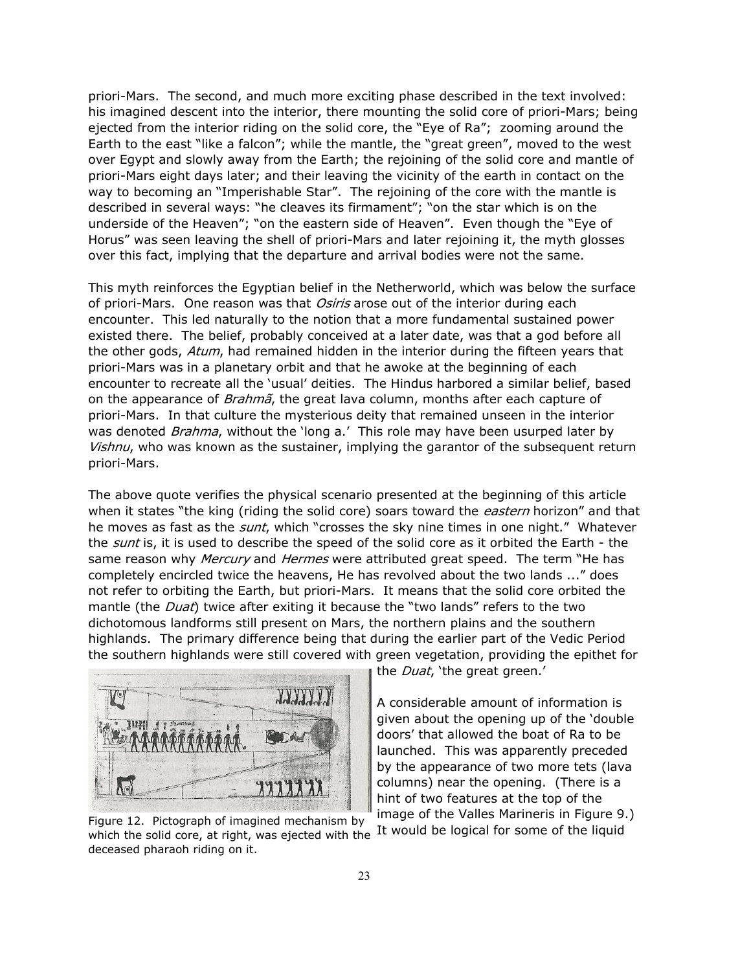priori-Mars. The second, and much more exciting phase described in the text involved: his imagined descent into the interior, there mounting the solid core of priori-Mars; being ejected from the interior riding on the solid core, the "Eye of Ra"; zooming around the Earth to the east "like a falcon"; while the mantle, the "great green", moved to the west over Egypt and slowly away from the Earth; the rejoining of the solid core and mantle of priori-Mars eight days later; and their leaving the vicinity of the earth in contact on the way to becoming an "Imperishable Star". The rejoining of the core with the mantle is described in several ways: "he cleaves its firmament"; "on the star which is on the underside of the Heaven"; "on the eastern side of Heaven". Even though the "Eye of Horus" was seen leaving the shell of priori-Mars and later rejoining it, the myth glosses over this fact, implying that the departure and arrival bodies were not the same.

This myth reinforces the Egyptian belief in the Netherworld, which was below the surface of priori-Mars. One reason was that *Osiris* arose out of the interior during each encounter. This led naturally to the notion that a more fundamental sustained power existed there. The belief, probably conceived at a later date, was that a god before all the other gods, Atum, had remained hidden in the interior during the fifteen years that priori-Mars was in a planetary orbit and that he awoke at the beginning of each encounter to recreate all the 'usual' deities. The Hindus harbored a similar belief, based on the appearance of *Brahmã*, the great lava column, months after each capture of priori-Mars. In that culture the mysterious deity that remained unseen in the interior was denoted Brahma, without the 'long a.' This role may have been usurped later by Vishnu, who was known as the sustainer, implying the garantor of the subsequent return priori-Mars.

The above quote verifies the physical scenario presented at the beginning of this article when it states "the king (riding the solid core) soars toward the *eastern* horizon" and that he moves as fast as the *sunt*, which "crosses the sky nine times in one night." Whatever the sunt is, it is used to describe the speed of the solid core as it orbited the Earth - the same reason why *Mercury* and *Hermes* were attributed great speed. The term "He has completely encircled twice the heavens, He has revolved about the two lands ..." does not refer to orbiting the Earth, but priori-Mars. It means that the solid core orbited the mantle (the *Duat*) twice after exiting it because the "two lands" refers to the two dichotomous landforms still present on Mars, the northern plains and the southern highlands. The primary difference being that during the earlier part of the Vedic Period the southern highlands were still covered with green vegetation, providing the epithet for



Figure 12. Pictograph of imagined mechanism by the liquid be logical for some of the liquid Figure 3. which the solid core, at right, was ejected with the deceased pharaoh riding on it.

the *Duat*, 'the great green.'

A considerable amount of information is given about the opening up of the 'double doors' that allowed the boat of Ra to be launched. This was apparently preceded by the appearance of two more tets (lava columns) near the opening. (There is a hint of two features at the top of the image of the Valles Marineris in Figure 9.)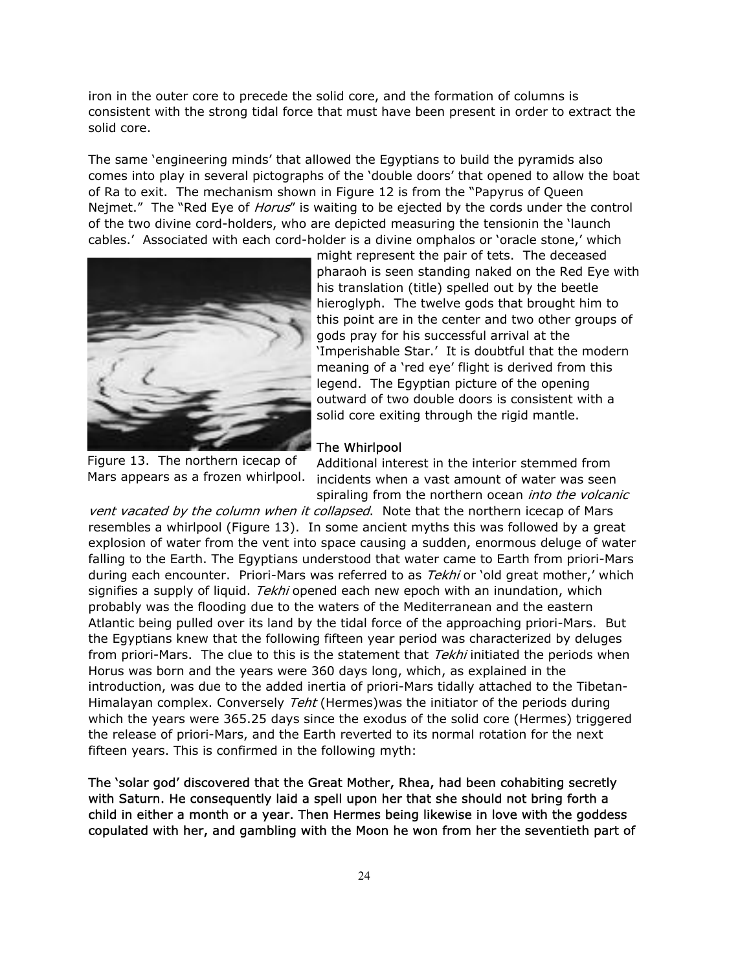iron in the outer core to precede the solid core, and the formation of columns is consistent with the strong tidal force that must have been present in order to extract the solid core.

The same 'engineering minds' that allowed the Egyptians to build the pyramids also comes into play in several pictographs of the 'double doors' that opened to allow the boat of Ra to exit. The mechanism shown in Figure 12 is from the "Papyrus of Queen Nejmet." The "Red Eye of *Horus*" is waiting to be ejected by the cords under the control of the two divine cord-holders, who are depicted measuring the tensionin the 'launch cables.' Associated with each cord-holder is a divine omphalos or 'oracle stone,' which



Figure 13. The northern icecap of Mars appears as a frozen whirlpool. might represent the pair of tets. The deceased pharaoh is seen standing naked on the Red Eye with his translation (title) spelled out by the beetle hieroglyph. The twelve gods that brought him to this point are in the center and two other groups of gods pray for his successful arrival at the 'Imperishable Star.' It is doubtful that the modern meaning of a 'red eye' flight is derived from this legend. The Egyptian picture of the opening outward of two double doors is consistent with a solid core exiting through the rigid mantle.

## The Whirlpool

Additional interest in the interior stemmed from incidents when a vast amount of water was seen spiraling from the northern ocean into the volcanic

vent vacated by the column when it collapsed. Note that the northern icecap of Mars resembles a whirlpool (Figure 13). In some ancient myths this was followed by a great explosion of water from the vent into space causing a sudden, enormous deluge of water falling to the Earth. The Egyptians understood that water came to Earth from priori-Mars during each encounter. Priori-Mars was referred to as Tekhi or 'old great mother,' which signifies a supply of liquid. Tekhi opened each new epoch with an inundation, which probably was the flooding due to the waters of the Mediterranean and the eastern Atlantic being pulled over its land by the tidal force of the approaching priori-Mars. But the Egyptians knew that the following fifteen year period was characterized by deluges from priori-Mars. The clue to this is the statement that Tekhi initiated the periods when Horus was born and the years were 360 days long, which, as explained in the introduction, was due to the added inertia of priori-Mars tidally attached to the Tibetan-Himalayan complex. Conversely Teht (Hermes)was the initiator of the periods during which the years were 365.25 days since the exodus of the solid core (Hermes) triggered the release of priori-Mars, and the Earth reverted to its normal rotation for the next fifteen years. This is confirmed in the following myth:

The 'solar god' discovered that the Great Mother, Rhea, had been cohabiting secretly with Saturn. He consequently laid a spell upon her that she should not bring forth a child in either a month or a year. Then Hermes being likewise in love with the goddess copulated with her, and gambling with the Moon he won from her the seventieth part of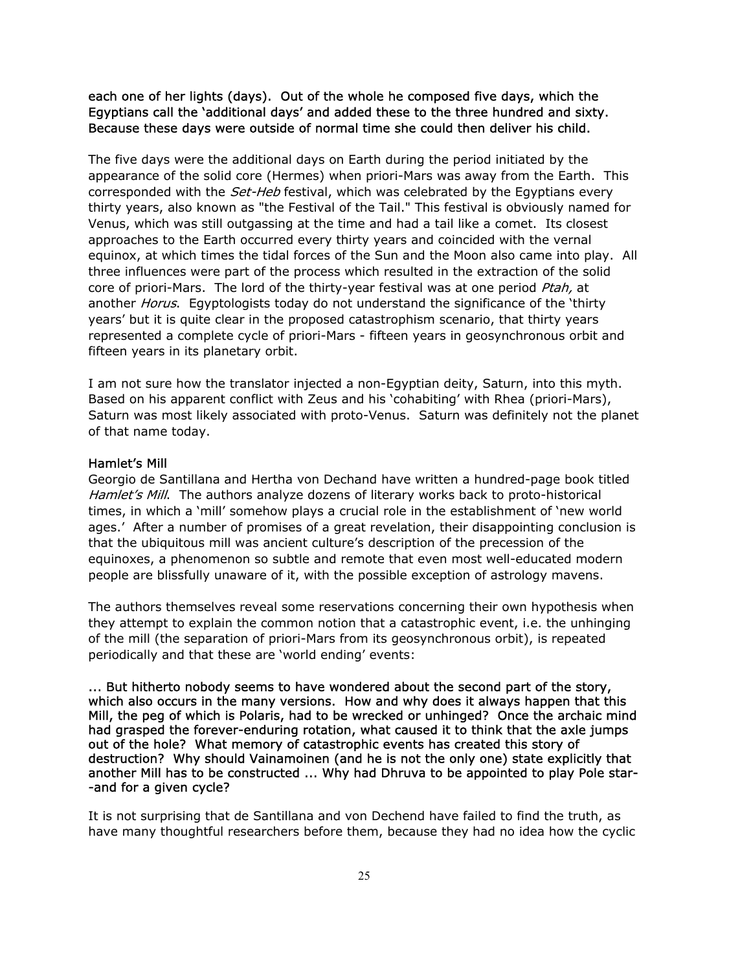# each one of her lights (days). Out of the whole he composed five days, which the Egyptians call the 'additional days' and added these to the three hundred and sixty. Because these days were outside of normal time she could then deliver his child.

The five days were the additional days on Earth during the period initiated by the appearance of the solid core (Hermes) when priori-Mars was away from the Earth. This corresponded with the *Set-Heb* festival, which was celebrated by the Egyptians every thirty years, also known as "the Festival of the Tail." This festival is obviously named for Venus, which was still outgassing at the time and had a tail like a comet. Its closest approaches to the Earth occurred every thirty years and coincided with the vernal equinox, at which times the tidal forces of the Sun and the Moon also came into play. All three influences were part of the process which resulted in the extraction of the solid core of priori-Mars. The lord of the thirty-year festival was at one period Ptah, at another Horus. Egyptologists today do not understand the significance of the 'thirty years' but it is quite clear in the proposed catastrophism scenario, that thirty years represented a complete cycle of priori-Mars - fifteen years in geosynchronous orbit and fifteen years in its planetary orbit.

I am not sure how the translator injected a non-Egyptian deity, Saturn, into this myth. Based on his apparent conflict with Zeus and his 'cohabiting' with Rhea (priori-Mars), Saturn was most likely associated with proto-Venus. Saturn was definitely not the planet of that name today.

### Hamlet's Mill

Georgio de Santillana and Hertha von Dechand have written a hundred-page book titled Hamlet's Mill. The authors analyze dozens of literary works back to proto-historical times, in which a 'mill' somehow plays a crucial role in the establishment of 'new world ages.' After a number of promises of a great revelation, their disappointing conclusion is that the ubiquitous mill was ancient culture's description of the precession of the equinoxes, a phenomenon so subtle and remote that even most well-educated modern people are blissfully unaware of it, with the possible exception of astrology mavens.

The authors themselves reveal some reservations concerning their own hypothesis when they attempt to explain the common notion that a catastrophic event, i.e. the unhinging of the mill (the separation of priori-Mars from its geosynchronous orbit), is repeated periodically and that these are 'world ending' events:

... But hitherto nobody seems to have wondered about the second part of the story, which also occurs in the many versions. How and why does it always happen that this Mill, the peg of which is Polaris, had to be wrecked or unhinged? Once the archaic mind had grasped the forever-enduring rotation, what caused it to think that the axle jumps out of the hole? What memory of catastrophic events has created this story of destruction? Why should Vainamoinen (and he is not the only one) state explicitly that another Mill has to be constructed ... Why had Dhruva to be appointed to play Pole star- -and for a given cycle?

It is not surprising that de Santillana and von Dechend have failed to find the truth, as have many thoughtful researchers before them, because they had no idea how the cyclic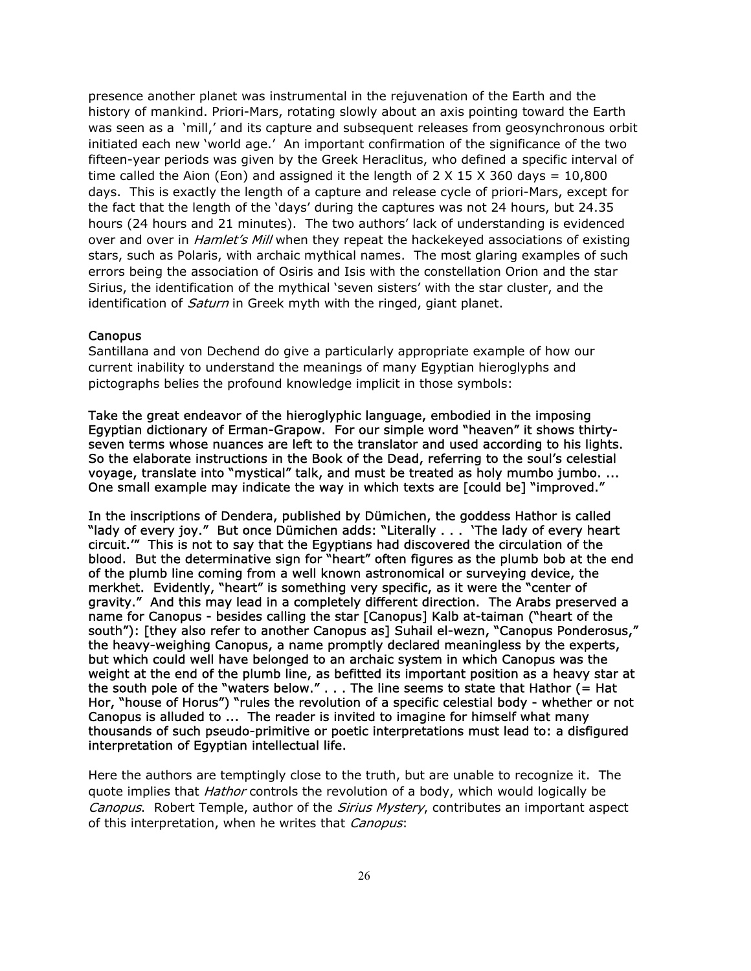presence another planet was instrumental in the rejuvenation of the Earth and the history of mankind. Priori-Mars, rotating slowly about an axis pointing toward the Earth was seen as a 'mill,' and its capture and subsequent releases from geosynchronous orbit initiated each new 'world age.' An important confirmation of the significance of the two fifteen-year periods was given by the Greek Heraclitus, who defined a specific interval of time called the Aion (Eon) and assigned it the length of  $2 \times 15 \times 360$  days = 10,800 days. This is exactly the length of a capture and release cycle of priori-Mars, except for the fact that the length of the 'days' during the captures was not 24 hours, but 24.35 hours (24 hours and 21 minutes). The two authors' lack of understanding is evidenced over and over in *Hamlet's Mill* when they repeat the hackekeyed associations of existing stars, such as Polaris, with archaic mythical names. The most glaring examples of such errors being the association of Osiris and Isis with the constellation Orion and the star Sirius, the identification of the mythical 'seven sisters' with the star cluster, and the identification of *Saturn* in Greek myth with the ringed, giant planet.

## Canopus

Santillana and von Dechend do give a particularly appropriate example of how our current inability to understand the meanings of many Egyptian hieroglyphs and pictographs belies the profound knowledge implicit in those symbols:

Take the great endeavor of the hieroglyphic language, embodied in the imposing Egyptian dictionary of Erman-Grapow. For our simple word "heaven" it shows thirtyseven terms whose nuances are left to the translator and used according to his lights. So the elaborate instructions in the Book of the Dead, referring to the soul's celestial voyage, translate into "mystical" talk, and must be treated as holy mumbo jumbo. ... One small example may indicate the way in which texts are [could be] "improved."

In the inscriptions of Dendera, published by Dümichen, the goddess Hathor is called "lady of every joy." But once Dümichen adds: "Literally . . . 'The lady of every heart circuit.'" This is not to say that the Egyptians had discovered the circulation of the blood. But the determinative sign for "heart" often figures as the plumb bob at the end of the plumb line coming from a well known astronomical or surveying device, the merkhet. Evidently, "heart" is something very specific, as it were the "center of gravity." And this may lead in a completely different direction. The Arabs preserved a name for Canopus - besides calling the star [Canopus] Kalb at-taiman ("heart of the south"): [they also refer to another Canopus as] Suhail el-wezn, "Canopus Ponderosus," the heavy-weighing Canopus, a name promptly declared meaningless by the experts, but which could well have belonged to an archaic system in which Canopus was the weight at the end of the plumb line, as befitted its important position as a heavy star at the south pole of the "waters below."  $\ldots$  The line seems to state that Hathor (= Hat Hor, "house of Horus") "rules the revolution of a specific celestial body - whether or not Canopus is alluded to ... The reader is invited to imagine for himself what many thousands of such pseudo-primitive or poetic interpretations must lead to: a disfigured interpretation of Egyptian intellectual life.

Here the authors are temptingly close to the truth, but are unable to recognize it. The quote implies that *Hathor* controls the revolution of a body, which would logically be Canopus. Robert Temple, author of the Sirius Mystery, contributes an important aspect of this interpretation, when he writes that Canopus: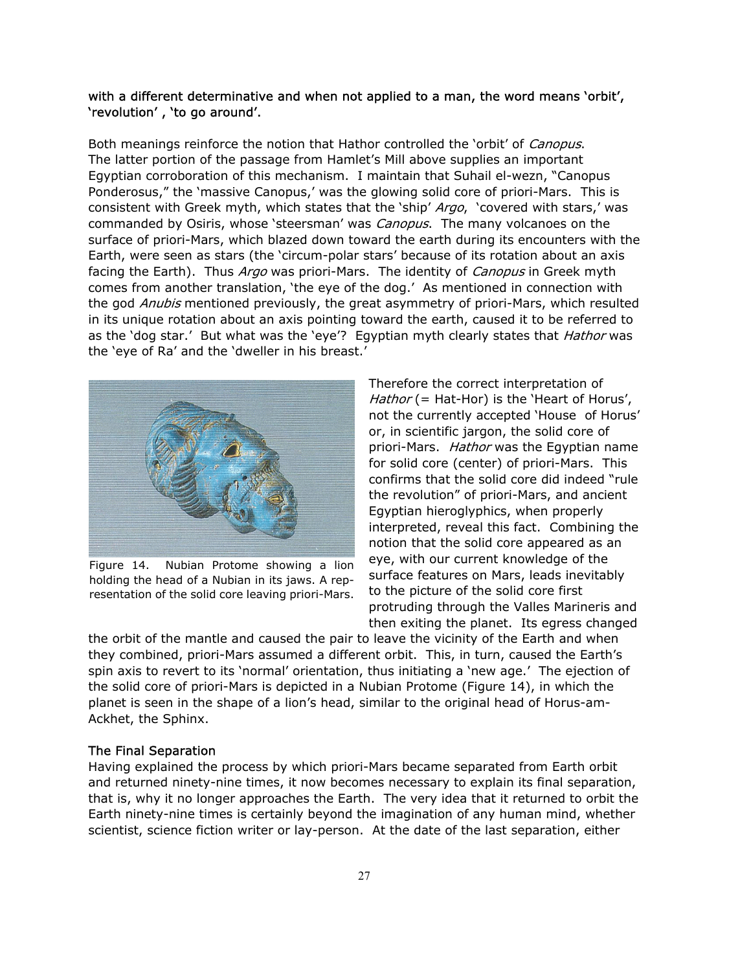## with a different determinative and when not applied to a man, the word means 'orbit', 'revolution' , 'to go around'.

Both meanings reinforce the notion that Hathor controlled the 'orbit' of Canopus. The latter portion of the passage from Hamlet's Mill above supplies an important Egyptian corroboration of this mechanism. I maintain that Suhail el-wezn, "Canopus Ponderosus," the 'massive Canopus,' was the glowing solid core of priori-Mars. This is consistent with Greek myth, which states that the 'ship' Argo, 'covered with stars,' was commanded by Osiris, whose 'steersman' was *Canopus*. The many volcanoes on the surface of priori-Mars, which blazed down toward the earth during its encounters with the Earth, were seen as stars (the 'circum-polar stars' because of its rotation about an axis facing the Earth). Thus Argo was priori-Mars. The identity of Canopus in Greek myth comes from another translation, 'the eye of the dog.' As mentioned in connection with the god Anubis mentioned previously, the great asymmetry of priori-Mars, which resulted in its unique rotation about an axis pointing toward the earth, caused it to be referred to as the 'dog star.' But what was the 'eye'? Egyptian myth clearly states that *Hathor* was the 'eye of Ra' and the 'dweller in his breast.'



Figure 14. Nubian Protome showing a lion holding the head of a Nubian in its jaws. A representation of the solid core leaving priori-Mars.

Therefore the correct interpretation of Hathor (= Hat-Hor) is the 'Heart of Horus', not the currently accepted 'House of Horus' or, in scientific jargon, the solid core of priori-Mars. Hathor was the Egyptian name for solid core (center) of priori-Mars. This confirms that the solid core did indeed "rule the revolution" of priori-Mars, and ancient Egyptian hieroglyphics, when properly interpreted, reveal this fact. Combining the notion that the solid core appeared as an eye, with our current knowledge of the surface features on Mars, leads inevitably to the picture of the solid core first protruding through the Valles Marineris and then exiting the planet. Its egress changed

the orbit of the mantle and caused the pair to leave the vicinity of the Earth and when they combined, priori-Mars assumed a different orbit. This, in turn, caused the Earth's spin axis to revert to its 'normal' orientation, thus initiating a 'new age.' The ejection of the solid core of priori-Mars is depicted in a Nubian Protome (Figure 14), in which the planet is seen in the shape of a lion's head, similar to the original head of Horus-am-Ackhet, the Sphinx.

#### The Final Separation

Having explained the process by which priori-Mars became separated from Earth orbit and returned ninety-nine times, it now becomes necessary to explain its final separation, that is, why it no longer approaches the Earth. The very idea that it returned to orbit the Earth ninety-nine times is certainly beyond the imagination of any human mind, whether scientist, science fiction writer or lay-person. At the date of the last separation, either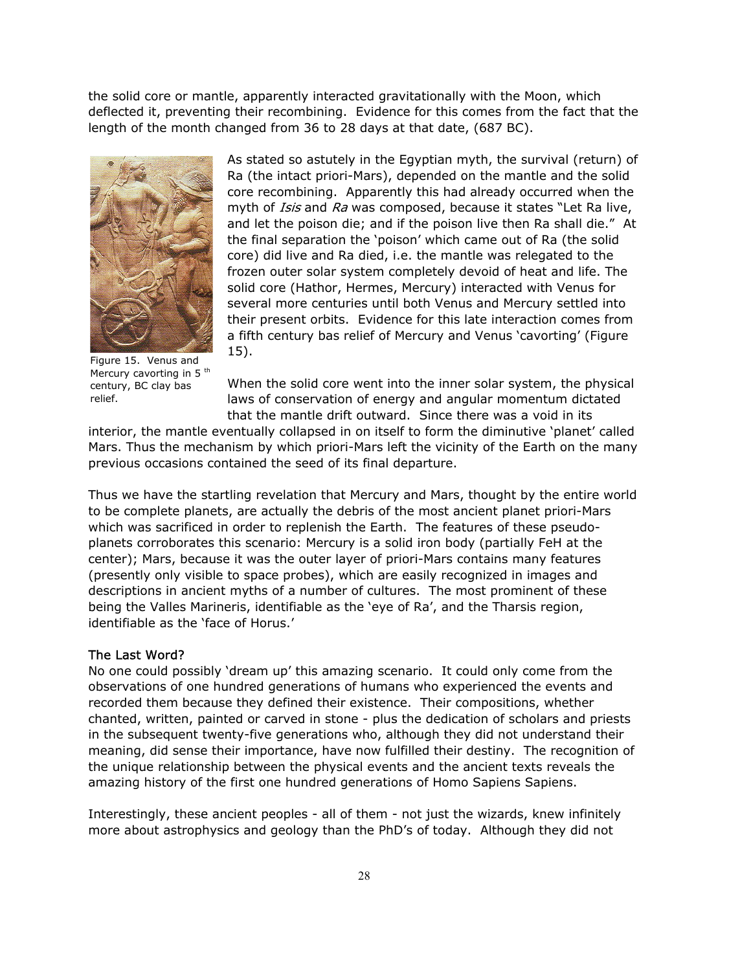the solid core or mantle, apparently interacted gravitationally with the Moon, which deflected it, preventing their recombining. Evidence for this comes from the fact that the length of the month changed from 36 to 28 days at that date, (687 BC).



Figure 15. Venus and Mercury cavorting in 5<sup>th</sup> century, BC clay bas relief.

As stated so astutely in the Egyptian myth, the survival (return) of Ra (the intact priori-Mars), depended on the mantle and the solid core recombining. Apparently this had already occurred when the myth of *Isis* and Ra was composed, because it states "Let Ra live, and let the poison die; and if the poison live then Ra shall die." At the final separation the 'poison' which came out of Ra (the solid core) did live and Ra died, i.e. the mantle was relegated to the frozen outer solar system completely devoid of heat and life. The solid core (Hathor, Hermes, Mercury) interacted with Venus for several more centuries until both Venus and Mercury settled into their present orbits. Evidence for this late interaction comes from a fifth century bas relief of Mercury and Venus 'cavorting' (Figure 15).

When the solid core went into the inner solar system, the physical laws of conservation of energy and angular momentum dictated that the mantle drift outward. Since there was a void in its

interior, the mantle eventually collapsed in on itself to form the diminutive 'planet' called Mars. Thus the mechanism by which priori-Mars left the vicinity of the Earth on the many previous occasions contained the seed of its final departure.

Thus we have the startling revelation that Mercury and Mars, thought by the entire world to be complete planets, are actually the debris of the most ancient planet priori-Mars which was sacrificed in order to replenish the Earth. The features of these pseudoplanets corroborates this scenario: Mercury is a solid iron body (partially FeH at the center); Mars, because it was the outer layer of priori-Mars contains many features (presently only visible to space probes), which are easily recognized in images and descriptions in ancient myths of a number of cultures. The most prominent of these being the Valles Marineris, identifiable as the 'eye of Ra', and the Tharsis region, identifiable as the 'face of Horus.'

### The Last Word?

No one could possibly 'dream up' this amazing scenario. It could only come from the observations of one hundred generations of humans who experienced the events and recorded them because they defined their existence. Their compositions, whether chanted, written, painted or carved in stone - plus the dedication of scholars and priests in the subsequent twenty-five generations who, although they did not understand their meaning, did sense their importance, have now fulfilled their destiny. The recognition of the unique relationship between the physical events and the ancient texts reveals the amazing history of the first one hundred generations of Homo Sapiens Sapiens.

Interestingly, these ancient peoples - all of them - not just the wizards, knew infinitely more about astrophysics and geology than the PhD's of today. Although they did not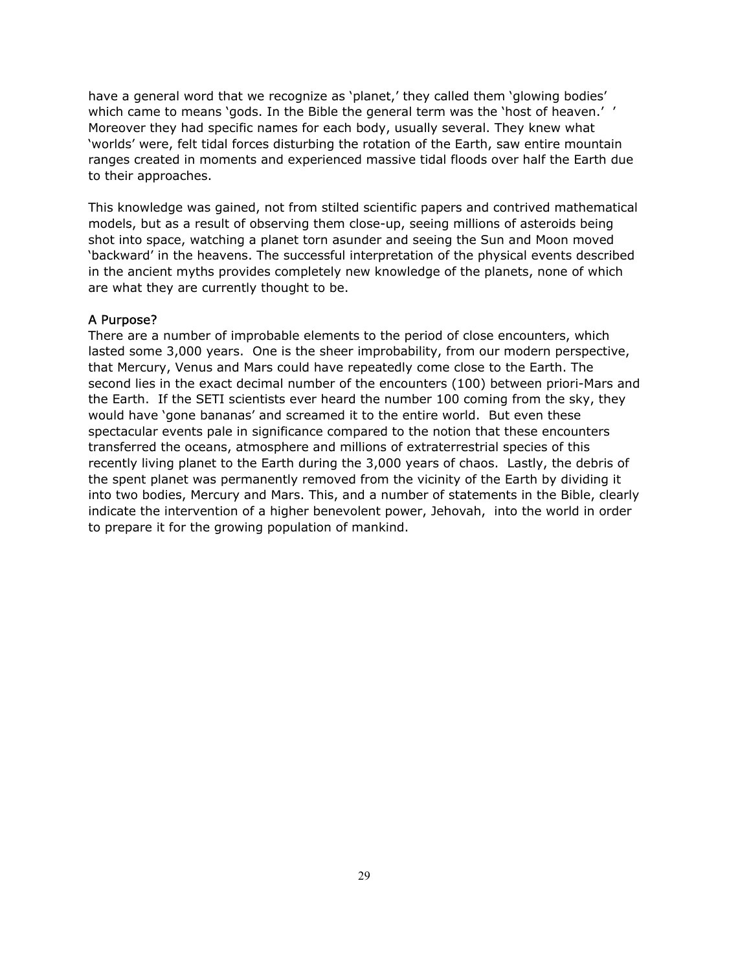have a general word that we recognize as 'planet,' they called them 'glowing bodies' which came to means 'gods. In the Bible the general term was the 'host of heaven.' ' Moreover they had specific names for each body, usually several. They knew what 'worlds' were, felt tidal forces disturbing the rotation of the Earth, saw entire mountain ranges created in moments and experienced massive tidal floods over half the Earth due to their approaches.

This knowledge was gained, not from stilted scientific papers and contrived mathematical models, but as a result of observing them close-up, seeing millions of asteroids being shot into space, watching a planet torn asunder and seeing the Sun and Moon moved 'backward' in the heavens. The successful interpretation of the physical events described in the ancient myths provides completely new knowledge of the planets, none of which are what they are currently thought to be.

## A Purpose?

There are a number of improbable elements to the period of close encounters, which lasted some 3,000 years. One is the sheer improbability, from our modern perspective, that Mercury, Venus and Mars could have repeatedly come close to the Earth. The second lies in the exact decimal number of the encounters (100) between priori-Mars and the Earth. If the SETI scientists ever heard the number 100 coming from the sky, they would have 'gone bananas' and screamed it to the entire world. But even these spectacular events pale in significance compared to the notion that these encounters transferred the oceans, atmosphere and millions of extraterrestrial species of this recently living planet to the Earth during the 3,000 years of chaos. Lastly, the debris of the spent planet was permanently removed from the vicinity of the Earth by dividing it into two bodies, Mercury and Mars. This, and a number of statements in the Bible, clearly indicate the intervention of a higher benevolent power, Jehovah, into the world in order to prepare it for the growing population of mankind.